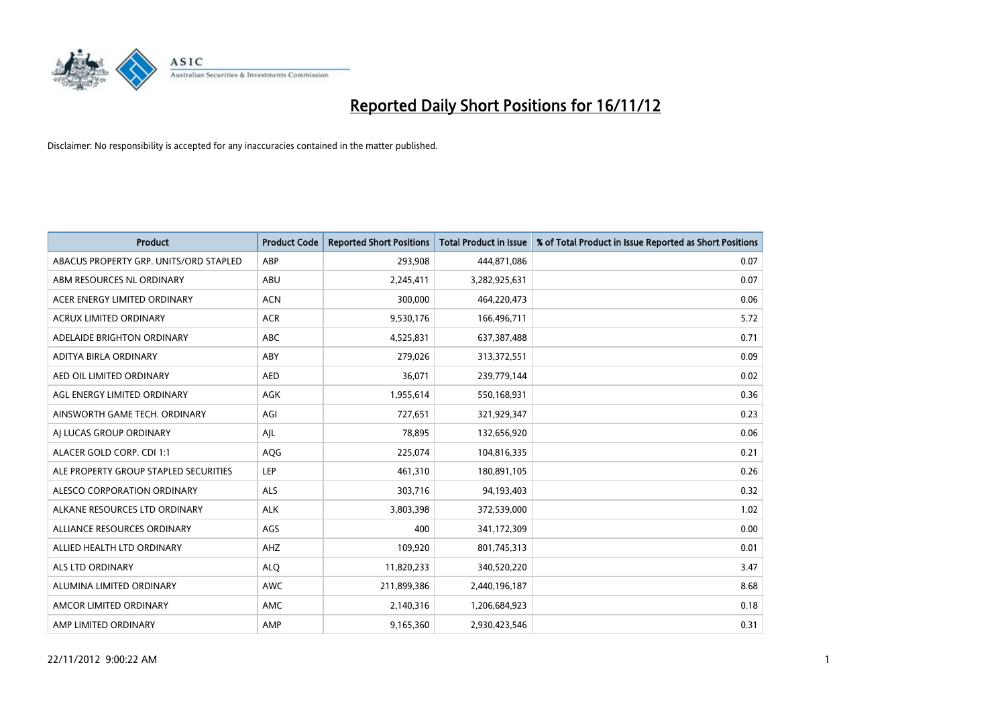

| <b>Product</b>                         | <b>Product Code</b> | <b>Reported Short Positions</b> | Total Product in Issue | % of Total Product in Issue Reported as Short Positions |
|----------------------------------------|---------------------|---------------------------------|------------------------|---------------------------------------------------------|
| ABACUS PROPERTY GRP. UNITS/ORD STAPLED | ABP                 | 293,908                         | 444,871,086            | 0.07                                                    |
| ABM RESOURCES NL ORDINARY              | ABU                 | 2,245,411                       | 3,282,925,631          | 0.07                                                    |
| ACER ENERGY LIMITED ORDINARY           | <b>ACN</b>          | 300,000                         | 464,220,473            | 0.06                                                    |
| ACRUX LIMITED ORDINARY                 | <b>ACR</b>          | 9,530,176                       | 166,496,711            | 5.72                                                    |
| ADELAIDE BRIGHTON ORDINARY             | <b>ABC</b>          | 4,525,831                       | 637,387,488            | 0.71                                                    |
| ADITYA BIRLA ORDINARY                  | ABY                 | 279,026                         | 313,372,551            | 0.09                                                    |
| AED OIL LIMITED ORDINARY               | <b>AED</b>          | 36,071                          | 239,779,144            | 0.02                                                    |
| AGL ENERGY LIMITED ORDINARY            | AGK                 | 1,955,614                       | 550,168,931            | 0.36                                                    |
| AINSWORTH GAME TECH. ORDINARY          | AGI                 | 727,651                         | 321,929,347            | 0.23                                                    |
| AI LUCAS GROUP ORDINARY                | AIL                 | 78,895                          | 132,656,920            | 0.06                                                    |
| ALACER GOLD CORP. CDI 1:1              | AQG                 | 225,074                         | 104,816,335            | 0.21                                                    |
| ALE PROPERTY GROUP STAPLED SECURITIES  | LEP                 | 461,310                         | 180,891,105            | 0.26                                                    |
| ALESCO CORPORATION ORDINARY            | <b>ALS</b>          | 303,716                         | 94,193,403             | 0.32                                                    |
| ALKANE RESOURCES LTD ORDINARY          | <b>ALK</b>          | 3,803,398                       | 372,539,000            | 1.02                                                    |
| ALLIANCE RESOURCES ORDINARY            | AGS                 | 400                             | 341,172,309            | 0.00                                                    |
| ALLIED HEALTH LTD ORDINARY             | AHZ                 | 109,920                         | 801,745,313            | 0.01                                                    |
| ALS LTD ORDINARY                       | <b>ALO</b>          | 11,820,233                      | 340,520,220            | 3.47                                                    |
| ALUMINA LIMITED ORDINARY               | <b>AWC</b>          | 211,899,386                     | 2,440,196,187          | 8.68                                                    |
| AMCOR LIMITED ORDINARY                 | AMC                 | 2,140,316                       | 1,206,684,923          | 0.18                                                    |
| AMP LIMITED ORDINARY                   | AMP                 | 9,165,360                       | 2,930,423,546          | 0.31                                                    |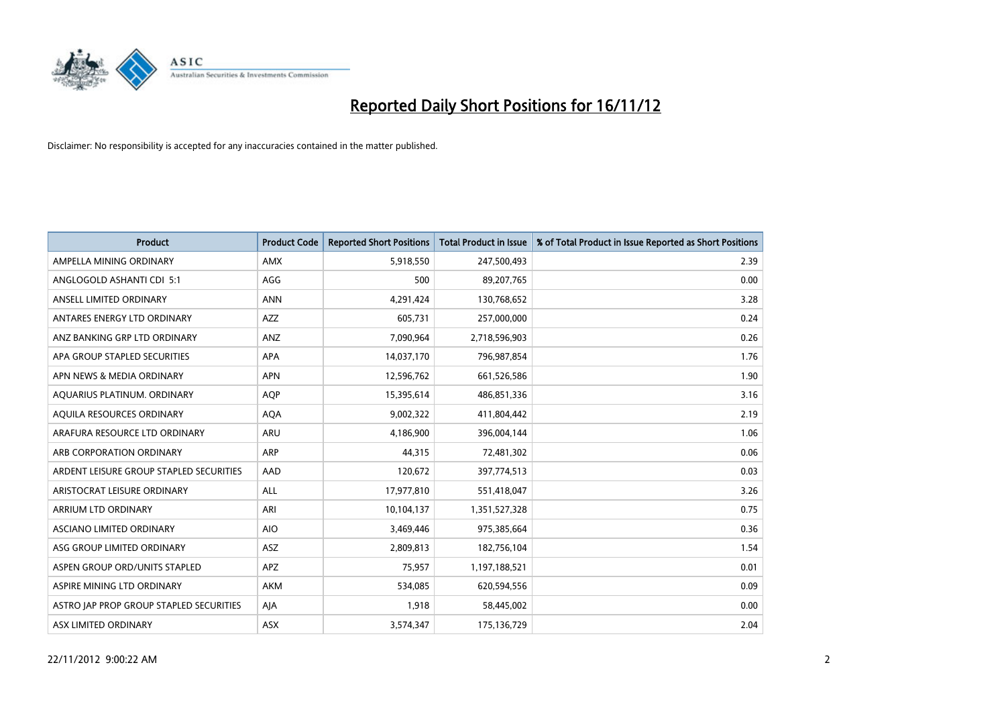

| <b>Product</b>                          | <b>Product Code</b> | <b>Reported Short Positions</b> | <b>Total Product in Issue</b> | % of Total Product in Issue Reported as Short Positions |
|-----------------------------------------|---------------------|---------------------------------|-------------------------------|---------------------------------------------------------|
| AMPELLA MINING ORDINARY                 | <b>AMX</b>          | 5,918,550                       | 247,500,493                   | 2.39                                                    |
| ANGLOGOLD ASHANTI CDI 5:1               | AGG                 | 500                             | 89,207,765                    | 0.00                                                    |
| ANSELL LIMITED ORDINARY                 | <b>ANN</b>          | 4,291,424                       | 130,768,652                   | 3.28                                                    |
| ANTARES ENERGY LTD ORDINARY             | <b>AZZ</b>          | 605,731                         | 257,000,000                   | 0.24                                                    |
| ANZ BANKING GRP LTD ORDINARY            | ANZ                 | 7,090,964                       | 2,718,596,903                 | 0.26                                                    |
| APA GROUP STAPLED SECURITIES            | <b>APA</b>          | 14,037,170                      | 796,987,854                   | 1.76                                                    |
| APN NEWS & MEDIA ORDINARY               | <b>APN</b>          | 12,596,762                      | 661,526,586                   | 1.90                                                    |
| AQUARIUS PLATINUM. ORDINARY             | <b>AOP</b>          | 15,395,614                      | 486,851,336                   | 3.16                                                    |
| AQUILA RESOURCES ORDINARY               | <b>AQA</b>          | 9,002,322                       | 411,804,442                   | 2.19                                                    |
| ARAFURA RESOURCE LTD ORDINARY           | <b>ARU</b>          | 4,186,900                       | 396,004,144                   | 1.06                                                    |
| ARB CORPORATION ORDINARY                | <b>ARP</b>          | 44,315                          | 72,481,302                    | 0.06                                                    |
| ARDENT LEISURE GROUP STAPLED SECURITIES | AAD                 | 120,672                         | 397,774,513                   | 0.03                                                    |
| ARISTOCRAT LEISURE ORDINARY             | <b>ALL</b>          | 17,977,810                      | 551,418,047                   | 3.26                                                    |
| ARRIUM LTD ORDINARY                     | ARI                 | 10,104,137                      | 1,351,527,328                 | 0.75                                                    |
| ASCIANO LIMITED ORDINARY                | <b>AIO</b>          | 3,469,446                       | 975,385,664                   | 0.36                                                    |
| ASG GROUP LIMITED ORDINARY              | ASZ                 | 2,809,813                       | 182,756,104                   | 1.54                                                    |
| ASPEN GROUP ORD/UNITS STAPLED           | <b>APZ</b>          | 75,957                          | 1,197,188,521                 | 0.01                                                    |
| ASPIRE MINING LTD ORDINARY              | <b>AKM</b>          | 534,085                         | 620,594,556                   | 0.09                                                    |
| ASTRO JAP PROP GROUP STAPLED SECURITIES | AIA                 | 1,918                           | 58,445,002                    | 0.00                                                    |
| ASX LIMITED ORDINARY                    | ASX                 | 3,574,347                       | 175,136,729                   | 2.04                                                    |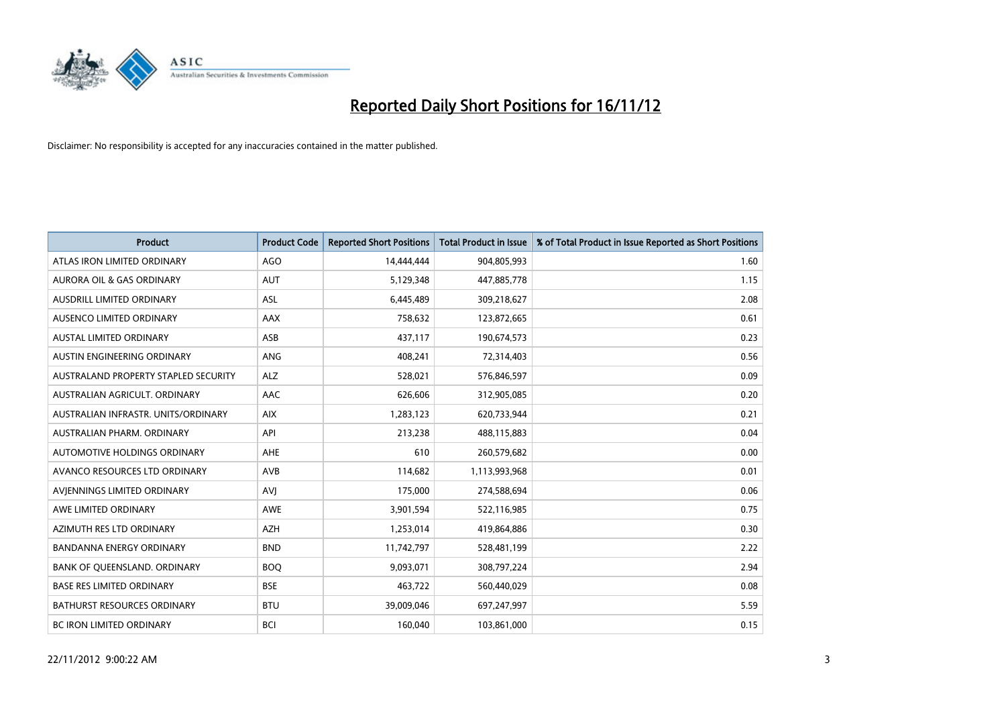

| <b>Product</b>                       | <b>Product Code</b> | <b>Reported Short Positions</b> | <b>Total Product in Issue</b> | % of Total Product in Issue Reported as Short Positions |
|--------------------------------------|---------------------|---------------------------------|-------------------------------|---------------------------------------------------------|
| ATLAS IRON LIMITED ORDINARY          | AGO                 | 14,444,444                      | 904,805,993                   | 1.60                                                    |
| AURORA OIL & GAS ORDINARY            | <b>AUT</b>          | 5,129,348                       | 447,885,778                   | 1.15                                                    |
| <b>AUSDRILL LIMITED ORDINARY</b>     | <b>ASL</b>          | 6,445,489                       | 309,218,627                   | 2.08                                                    |
| AUSENCO LIMITED ORDINARY             | AAX                 | 758,632                         | 123,872,665                   | 0.61                                                    |
| <b>AUSTAL LIMITED ORDINARY</b>       | ASB                 | 437,117                         | 190,674,573                   | 0.23                                                    |
| AUSTIN ENGINEERING ORDINARY          | ANG                 | 408,241                         | 72,314,403                    | 0.56                                                    |
| AUSTRALAND PROPERTY STAPLED SECURITY | <b>ALZ</b>          | 528,021                         | 576,846,597                   | 0.09                                                    |
| AUSTRALIAN AGRICULT, ORDINARY        | <b>AAC</b>          | 626,606                         | 312,905,085                   | 0.20                                                    |
| AUSTRALIAN INFRASTR. UNITS/ORDINARY  | <b>AIX</b>          | 1,283,123                       | 620,733,944                   | 0.21                                                    |
| AUSTRALIAN PHARM, ORDINARY           | API                 | 213,238                         | 488,115,883                   | 0.04                                                    |
| AUTOMOTIVE HOLDINGS ORDINARY         | <b>AHE</b>          | 610                             | 260,579,682                   | 0.00                                                    |
| AVANCO RESOURCES LTD ORDINARY        | AVB                 | 114,682                         | 1,113,993,968                 | 0.01                                                    |
| AVJENNINGS LIMITED ORDINARY          | AVI                 | 175,000                         | 274,588,694                   | 0.06                                                    |
| AWE LIMITED ORDINARY                 | <b>AWE</b>          | 3,901,594                       | 522,116,985                   | 0.75                                                    |
| AZIMUTH RES LTD ORDINARY             | <b>AZH</b>          | 1,253,014                       | 419,864,886                   | 0.30                                                    |
| BANDANNA ENERGY ORDINARY             | <b>BND</b>          | 11,742,797                      | 528,481,199                   | 2.22                                                    |
| BANK OF QUEENSLAND. ORDINARY         | <b>BOQ</b>          | 9,093,071                       | 308,797,224                   | 2.94                                                    |
| <b>BASE RES LIMITED ORDINARY</b>     | <b>BSE</b>          | 463,722                         | 560,440,029                   | 0.08                                                    |
| <b>BATHURST RESOURCES ORDINARY</b>   | <b>BTU</b>          | 39,009,046                      | 697,247,997                   | 5.59                                                    |
| <b>BC IRON LIMITED ORDINARY</b>      | <b>BCI</b>          | 160.040                         | 103,861,000                   | 0.15                                                    |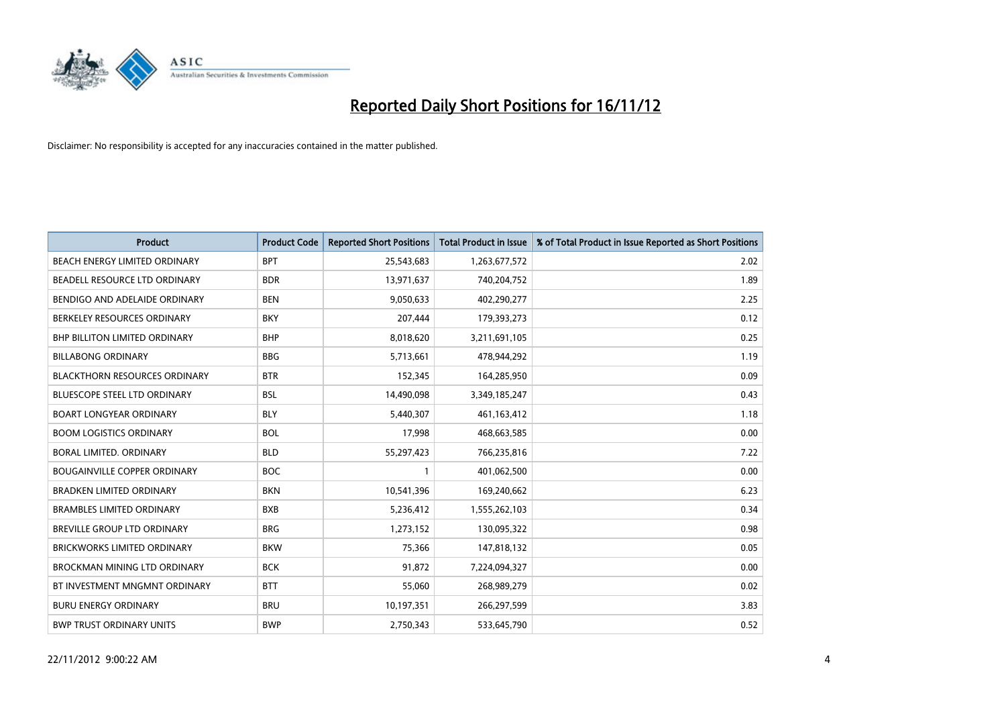

| <b>Product</b>                       | <b>Product Code</b> | <b>Reported Short Positions</b> | <b>Total Product in Issue</b> | % of Total Product in Issue Reported as Short Positions |
|--------------------------------------|---------------------|---------------------------------|-------------------------------|---------------------------------------------------------|
| <b>BEACH ENERGY LIMITED ORDINARY</b> | <b>BPT</b>          | 25,543,683                      | 1,263,677,572                 | 2.02                                                    |
| BEADELL RESOURCE LTD ORDINARY        | <b>BDR</b>          | 13,971,637                      | 740,204,752                   | 1.89                                                    |
| BENDIGO AND ADELAIDE ORDINARY        | <b>BEN</b>          | 9,050,633                       | 402,290,277                   | 2.25                                                    |
| BERKELEY RESOURCES ORDINARY          | <b>BKY</b>          | 207,444                         | 179,393,273                   | 0.12                                                    |
| <b>BHP BILLITON LIMITED ORDINARY</b> | <b>BHP</b>          | 8,018,620                       | 3,211,691,105                 | 0.25                                                    |
| <b>BILLABONG ORDINARY</b>            | <b>BBG</b>          | 5,713,661                       | 478,944,292                   | 1.19                                                    |
| <b>BLACKTHORN RESOURCES ORDINARY</b> | <b>BTR</b>          | 152,345                         | 164,285,950                   | 0.09                                                    |
| BLUESCOPE STEEL LTD ORDINARY         | <b>BSL</b>          | 14,490,098                      | 3,349,185,247                 | 0.43                                                    |
| <b>BOART LONGYEAR ORDINARY</b>       | <b>BLY</b>          | 5,440,307                       | 461,163,412                   | 1.18                                                    |
| <b>BOOM LOGISTICS ORDINARY</b>       | <b>BOL</b>          | 17,998                          | 468,663,585                   | 0.00                                                    |
| <b>BORAL LIMITED, ORDINARY</b>       | <b>BLD</b>          | 55,297,423                      | 766,235,816                   | 7.22                                                    |
| <b>BOUGAINVILLE COPPER ORDINARY</b>  | <b>BOC</b>          |                                 | 401,062,500                   | 0.00                                                    |
| <b>BRADKEN LIMITED ORDINARY</b>      | <b>BKN</b>          | 10,541,396                      | 169,240,662                   | 6.23                                                    |
| <b>BRAMBLES LIMITED ORDINARY</b>     | <b>BXB</b>          | 5,236,412                       | 1,555,262,103                 | 0.34                                                    |
| BREVILLE GROUP LTD ORDINARY          | <b>BRG</b>          | 1,273,152                       | 130,095,322                   | 0.98                                                    |
| <b>BRICKWORKS LIMITED ORDINARY</b>   | <b>BKW</b>          | 75,366                          | 147,818,132                   | 0.05                                                    |
| <b>BROCKMAN MINING LTD ORDINARY</b>  | <b>BCK</b>          | 91,872                          | 7,224,094,327                 | 0.00                                                    |
| BT INVESTMENT MNGMNT ORDINARY        | <b>BTT</b>          | 55,060                          | 268,989,279                   | 0.02                                                    |
| <b>BURU ENERGY ORDINARY</b>          | <b>BRU</b>          | 10,197,351                      | 266,297,599                   | 3.83                                                    |
| <b>BWP TRUST ORDINARY UNITS</b>      | <b>BWP</b>          | 2.750.343                       | 533,645,790                   | 0.52                                                    |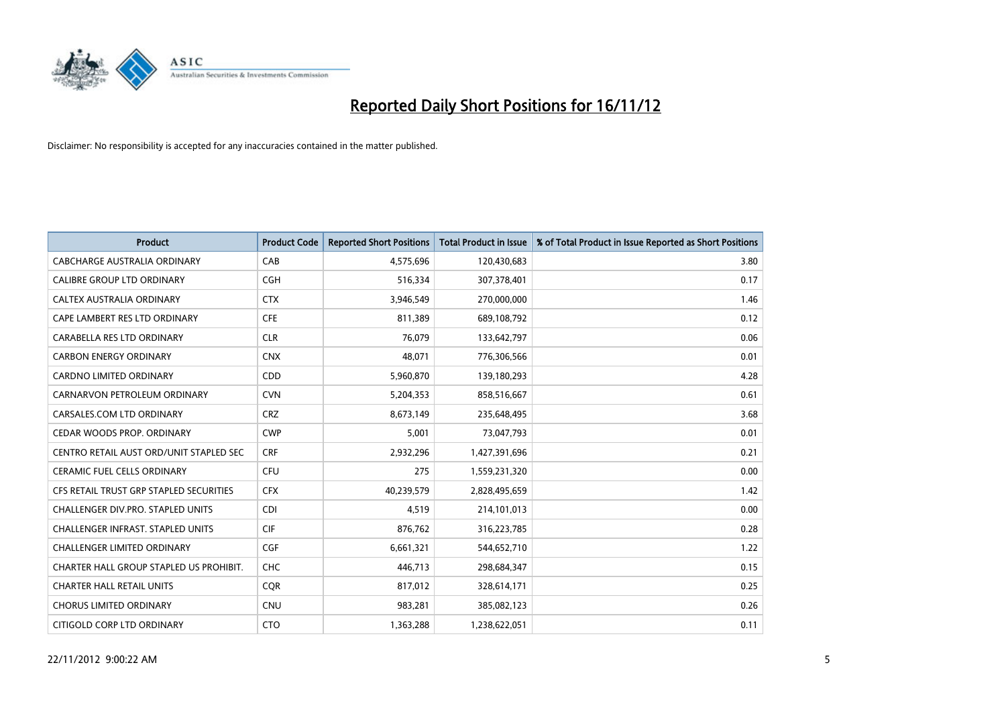

| <b>Product</b>                           | <b>Product Code</b> | <b>Reported Short Positions</b> | <b>Total Product in Issue</b> | % of Total Product in Issue Reported as Short Positions |
|------------------------------------------|---------------------|---------------------------------|-------------------------------|---------------------------------------------------------|
| <b>CABCHARGE AUSTRALIA ORDINARY</b>      | CAB                 | 4,575,696                       | 120,430,683                   | 3.80                                                    |
| CALIBRE GROUP LTD ORDINARY               | <b>CGH</b>          | 516,334                         | 307,378,401                   | 0.17                                                    |
| CALTEX AUSTRALIA ORDINARY                | <b>CTX</b>          | 3,946,549                       | 270,000,000                   | 1.46                                                    |
| CAPE LAMBERT RES LTD ORDINARY            | <b>CFE</b>          | 811,389                         | 689,108,792                   | 0.12                                                    |
| CARABELLA RES LTD ORDINARY               | <b>CLR</b>          | 76,079                          | 133,642,797                   | 0.06                                                    |
| <b>CARBON ENERGY ORDINARY</b>            | <b>CNX</b>          | 48,071                          | 776,306,566                   | 0.01                                                    |
| <b>CARDNO LIMITED ORDINARY</b>           | CDD                 | 5,960,870                       | 139,180,293                   | 4.28                                                    |
| CARNARVON PETROLEUM ORDINARY             | <b>CVN</b>          | 5,204,353                       | 858,516,667                   | 0.61                                                    |
| CARSALES.COM LTD ORDINARY                | <b>CRZ</b>          | 8,673,149                       | 235,648,495                   | 3.68                                                    |
| CEDAR WOODS PROP. ORDINARY               | <b>CWP</b>          | 5,001                           | 73,047,793                    | 0.01                                                    |
| CENTRO RETAIL AUST ORD/UNIT STAPLED SEC  | <b>CRF</b>          | 2,932,296                       | 1,427,391,696                 | 0.21                                                    |
| <b>CERAMIC FUEL CELLS ORDINARY</b>       | <b>CFU</b>          | 275                             | 1,559,231,320                 | 0.00                                                    |
| CFS RETAIL TRUST GRP STAPLED SECURITIES  | <b>CFX</b>          | 40,239,579                      | 2,828,495,659                 | 1.42                                                    |
| CHALLENGER DIV.PRO. STAPLED UNITS        | <b>CDI</b>          | 4,519                           | 214,101,013                   | 0.00                                                    |
| <b>CHALLENGER INFRAST, STAPLED UNITS</b> | <b>CIF</b>          | 876,762                         | 316,223,785                   | 0.28                                                    |
| CHALLENGER LIMITED ORDINARY              | <b>CGF</b>          | 6,661,321                       | 544,652,710                   | 1.22                                                    |
| CHARTER HALL GROUP STAPLED US PROHIBIT.  | <b>CHC</b>          | 446,713                         | 298,684,347                   | 0.15                                                    |
| <b>CHARTER HALL RETAIL UNITS</b>         | <b>CQR</b>          | 817,012                         | 328,614,171                   | 0.25                                                    |
| <b>CHORUS LIMITED ORDINARY</b>           | <b>CNU</b>          | 983,281                         | 385,082,123                   | 0.26                                                    |
| CITIGOLD CORP LTD ORDINARY               | <b>CTO</b>          | 1,363,288                       | 1,238,622,051                 | 0.11                                                    |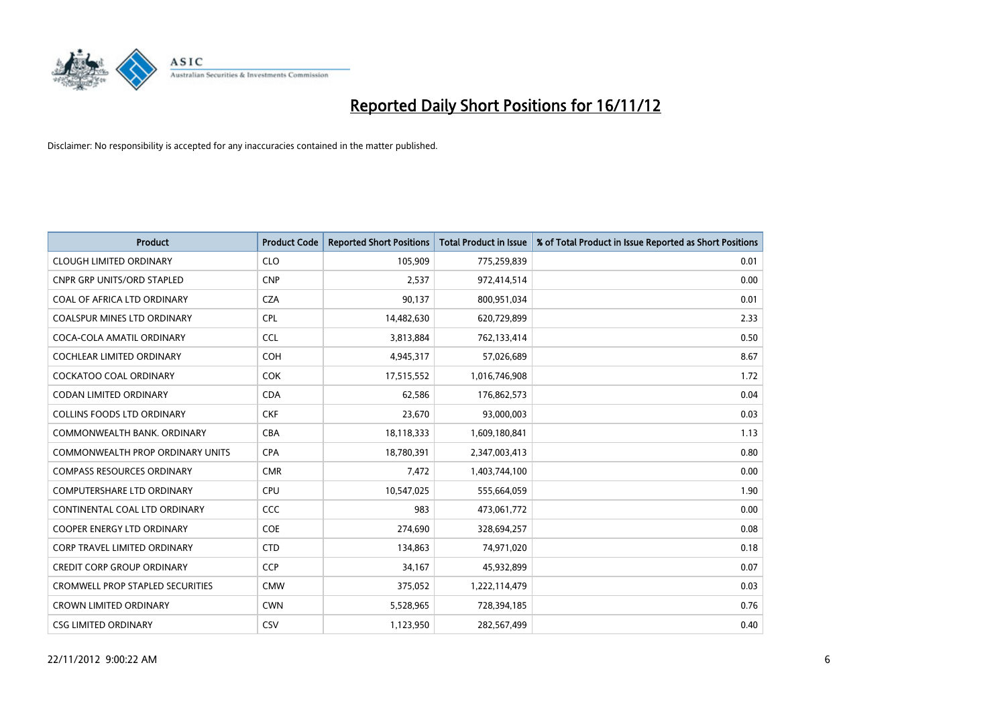

| <b>Product</b>                          | <b>Product Code</b> | <b>Reported Short Positions</b> | Total Product in Issue | % of Total Product in Issue Reported as Short Positions |
|-----------------------------------------|---------------------|---------------------------------|------------------------|---------------------------------------------------------|
| <b>CLOUGH LIMITED ORDINARY</b>          | <b>CLO</b>          | 105,909                         | 775,259,839            | 0.01                                                    |
| CNPR GRP UNITS/ORD STAPLED              | <b>CNP</b>          | 2,537                           | 972,414,514            | 0.00                                                    |
| COAL OF AFRICA LTD ORDINARY             | <b>CZA</b>          | 90,137                          | 800,951,034            | 0.01                                                    |
| COALSPUR MINES LTD ORDINARY             | <b>CPL</b>          | 14,482,630                      | 620,729,899            | 2.33                                                    |
| COCA-COLA AMATIL ORDINARY               | <b>CCL</b>          | 3,813,884                       | 762,133,414            | 0.50                                                    |
| COCHLEAR LIMITED ORDINARY               | <b>COH</b>          | 4,945,317                       | 57,026,689             | 8.67                                                    |
| <b>COCKATOO COAL ORDINARY</b>           | <b>COK</b>          | 17,515,552                      | 1,016,746,908          | 1.72                                                    |
| CODAN LIMITED ORDINARY                  | <b>CDA</b>          | 62,586                          | 176,862,573            | 0.04                                                    |
| <b>COLLINS FOODS LTD ORDINARY</b>       | <b>CKF</b>          | 23,670                          | 93,000,003             | 0.03                                                    |
| COMMONWEALTH BANK, ORDINARY             | <b>CBA</b>          | 18,118,333                      | 1,609,180,841          | 1.13                                                    |
| <b>COMMONWEALTH PROP ORDINARY UNITS</b> | <b>CPA</b>          | 18,780,391                      | 2,347,003,413          | 0.80                                                    |
| <b>COMPASS RESOURCES ORDINARY</b>       | <b>CMR</b>          | 7,472                           | 1,403,744,100          | 0.00                                                    |
| <b>COMPUTERSHARE LTD ORDINARY</b>       | CPU                 | 10,547,025                      | 555,664,059            | 1.90                                                    |
| CONTINENTAL COAL LTD ORDINARY           | <b>CCC</b>          | 983                             | 473,061,772            | 0.00                                                    |
| <b>COOPER ENERGY LTD ORDINARY</b>       | <b>COE</b>          | 274,690                         | 328,694,257            | 0.08                                                    |
| <b>CORP TRAVEL LIMITED ORDINARY</b>     | <b>CTD</b>          | 134,863                         | 74,971,020             | 0.18                                                    |
| <b>CREDIT CORP GROUP ORDINARY</b>       | <b>CCP</b>          | 34,167                          | 45,932,899             | 0.07                                                    |
| <b>CROMWELL PROP STAPLED SECURITIES</b> | <b>CMW</b>          | 375,052                         | 1,222,114,479          | 0.03                                                    |
| <b>CROWN LIMITED ORDINARY</b>           | <b>CWN</b>          | 5,528,965                       | 728,394,185            | 0.76                                                    |
| <b>CSG LIMITED ORDINARY</b>             | CSV                 | 1,123,950                       | 282,567,499            | 0.40                                                    |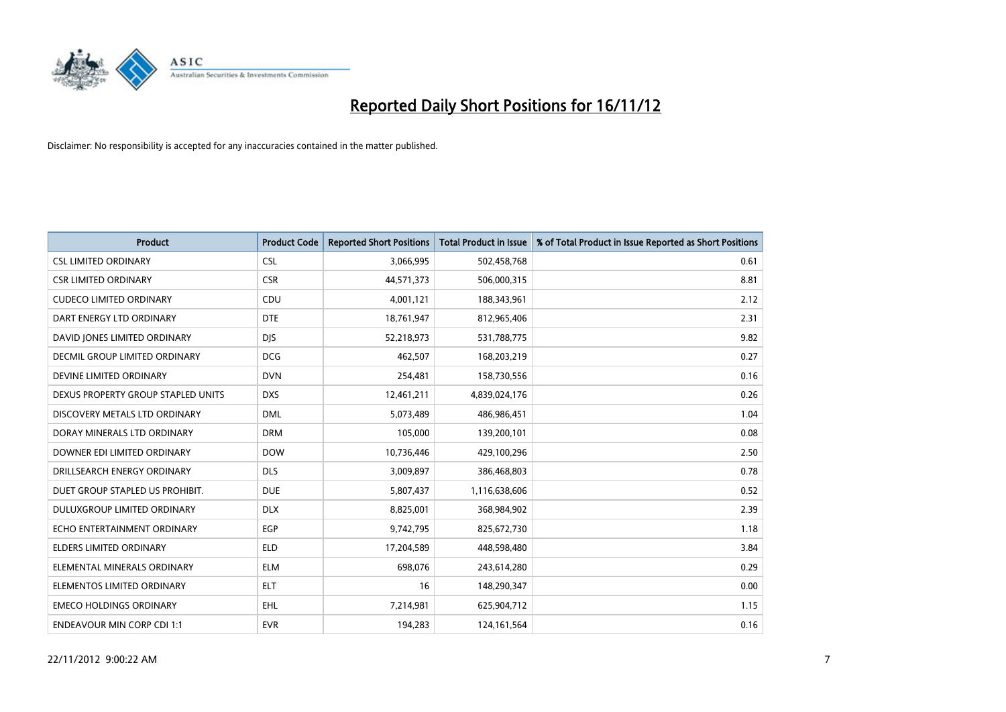

| <b>Product</b>                     | <b>Product Code</b> | <b>Reported Short Positions</b> | <b>Total Product in Issue</b> | % of Total Product in Issue Reported as Short Positions |
|------------------------------------|---------------------|---------------------------------|-------------------------------|---------------------------------------------------------|
| <b>CSL LIMITED ORDINARY</b>        | <b>CSL</b>          | 3,066,995                       | 502,458,768                   | 0.61                                                    |
| <b>CSR LIMITED ORDINARY</b>        | <b>CSR</b>          | 44,571,373                      | 506,000,315                   | 8.81                                                    |
| <b>CUDECO LIMITED ORDINARY</b>     | CDU                 | 4,001,121                       | 188,343,961                   | 2.12                                                    |
| DART ENERGY LTD ORDINARY           | <b>DTE</b>          | 18,761,947                      | 812,965,406                   | 2.31                                                    |
| DAVID JONES LIMITED ORDINARY       | <b>DIS</b>          | 52,218,973                      | 531,788,775                   | 9.82                                                    |
| DECMIL GROUP LIMITED ORDINARY      | <b>DCG</b>          | 462,507                         | 168,203,219                   | 0.27                                                    |
| DEVINE LIMITED ORDINARY            | <b>DVN</b>          | 254,481                         | 158,730,556                   | 0.16                                                    |
| DEXUS PROPERTY GROUP STAPLED UNITS | <b>DXS</b>          | 12,461,211                      | 4,839,024,176                 | 0.26                                                    |
| DISCOVERY METALS LTD ORDINARY      | <b>DML</b>          | 5,073,489                       | 486,986,451                   | 1.04                                                    |
| DORAY MINERALS LTD ORDINARY        | <b>DRM</b>          | 105,000                         | 139,200,101                   | 0.08                                                    |
| DOWNER EDI LIMITED ORDINARY        | <b>DOW</b>          | 10,736,446                      | 429,100,296                   | 2.50                                                    |
| DRILLSEARCH ENERGY ORDINARY        | <b>DLS</b>          | 3,009,897                       | 386,468,803                   | 0.78                                                    |
| DUET GROUP STAPLED US PROHIBIT.    | <b>DUE</b>          | 5,807,437                       | 1,116,638,606                 | 0.52                                                    |
| <b>DULUXGROUP LIMITED ORDINARY</b> | <b>DLX</b>          | 8,825,001                       | 368,984,902                   | 2.39                                                    |
| ECHO ENTERTAINMENT ORDINARY        | EGP                 | 9,742,795                       | 825,672,730                   | 1.18                                                    |
| ELDERS LIMITED ORDINARY            | <b>ELD</b>          | 17,204,589                      | 448,598,480                   | 3.84                                                    |
| ELEMENTAL MINERALS ORDINARY        | <b>ELM</b>          | 698,076                         | 243,614,280                   | 0.29                                                    |
| ELEMENTOS LIMITED ORDINARY         | <b>ELT</b>          | 16                              | 148,290,347                   | 0.00                                                    |
| <b>EMECO HOLDINGS ORDINARY</b>     | <b>EHL</b>          | 7,214,981                       | 625,904,712                   | 1.15                                                    |
| <b>ENDEAVOUR MIN CORP CDI 1:1</b>  | <b>EVR</b>          | 194,283                         | 124,161,564                   | 0.16                                                    |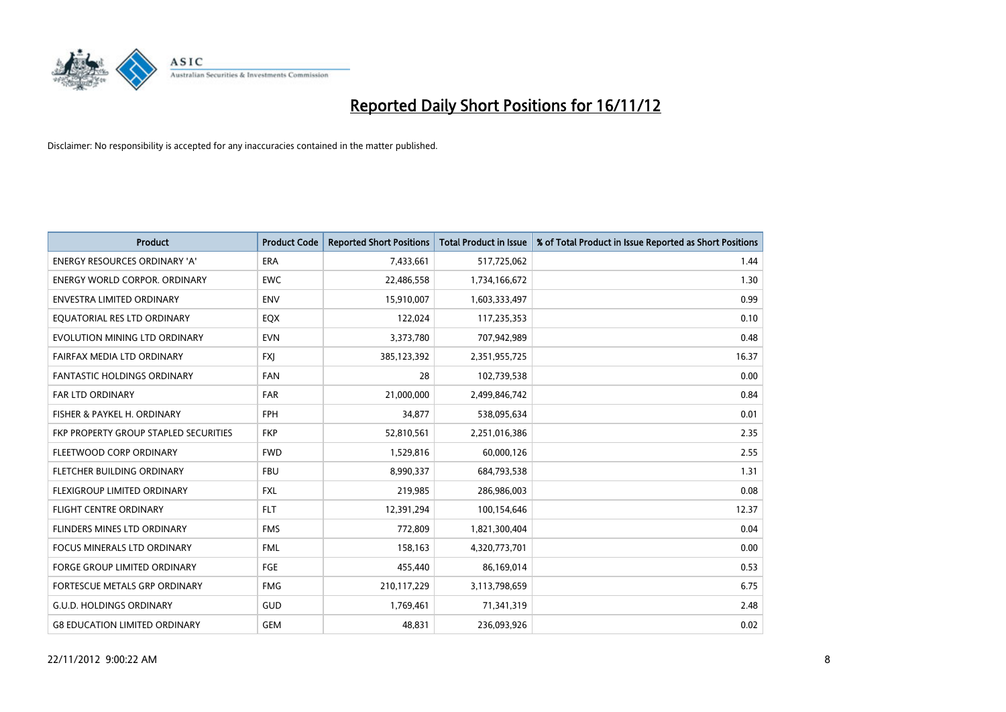

| <b>Product</b>                               | <b>Product Code</b> | <b>Reported Short Positions</b> | <b>Total Product in Issue</b> | % of Total Product in Issue Reported as Short Positions |
|----------------------------------------------|---------------------|---------------------------------|-------------------------------|---------------------------------------------------------|
| <b>ENERGY RESOURCES ORDINARY 'A'</b>         | <b>ERA</b>          | 7,433,661                       | 517,725,062                   | 1.44                                                    |
| <b>ENERGY WORLD CORPOR. ORDINARY</b>         | <b>EWC</b>          | 22,486,558                      | 1,734,166,672                 | 1.30                                                    |
| <b>ENVESTRA LIMITED ORDINARY</b>             | <b>ENV</b>          | 15,910,007                      | 1,603,333,497                 | 0.99                                                    |
| EQUATORIAL RES LTD ORDINARY                  | EQX                 | 122,024                         | 117,235,353                   | 0.10                                                    |
| EVOLUTION MINING LTD ORDINARY                | <b>EVN</b>          | 3,373,780                       | 707,942,989                   | 0.48                                                    |
| FAIRFAX MEDIA LTD ORDINARY                   | <b>FXI</b>          | 385,123,392                     | 2,351,955,725                 | 16.37                                                   |
| <b>FANTASTIC HOLDINGS ORDINARY</b>           | <b>FAN</b>          | 28                              | 102,739,538                   | 0.00                                                    |
| <b>FAR LTD ORDINARY</b>                      | FAR                 | 21,000,000                      | 2,499,846,742                 | 0.84                                                    |
| FISHER & PAYKEL H. ORDINARY                  | <b>FPH</b>          | 34,877                          | 538,095,634                   | 0.01                                                    |
| <b>FKP PROPERTY GROUP STAPLED SECURITIES</b> | <b>FKP</b>          | 52,810,561                      | 2,251,016,386                 | 2.35                                                    |
| FLEETWOOD CORP ORDINARY                      | <b>FWD</b>          | 1,529,816                       | 60,000,126                    | 2.55                                                    |
| FLETCHER BUILDING ORDINARY                   | <b>FBU</b>          | 8,990,337                       | 684,793,538                   | 1.31                                                    |
| <b>FLEXIGROUP LIMITED ORDINARY</b>           | <b>FXL</b>          | 219,985                         | 286,986,003                   | 0.08                                                    |
| <b>FLIGHT CENTRE ORDINARY</b>                | <b>FLT</b>          | 12,391,294                      | 100,154,646                   | 12.37                                                   |
| FLINDERS MINES LTD ORDINARY                  | <b>FMS</b>          | 772,809                         | 1,821,300,404                 | 0.04                                                    |
| FOCUS MINERALS LTD ORDINARY                  | <b>FML</b>          | 158,163                         | 4,320,773,701                 | 0.00                                                    |
| <b>FORGE GROUP LIMITED ORDINARY</b>          | FGE                 | 455,440                         | 86,169,014                    | 0.53                                                    |
| FORTESCUE METALS GRP ORDINARY                | <b>FMG</b>          | 210,117,229                     | 3,113,798,659                 | 6.75                                                    |
| <b>G.U.D. HOLDINGS ORDINARY</b>              | GUD                 | 1,769,461                       | 71,341,319                    | 2.48                                                    |
| <b>G8 EDUCATION LIMITED ORDINARY</b>         | <b>GEM</b>          | 48.831                          | 236.093.926                   | 0.02                                                    |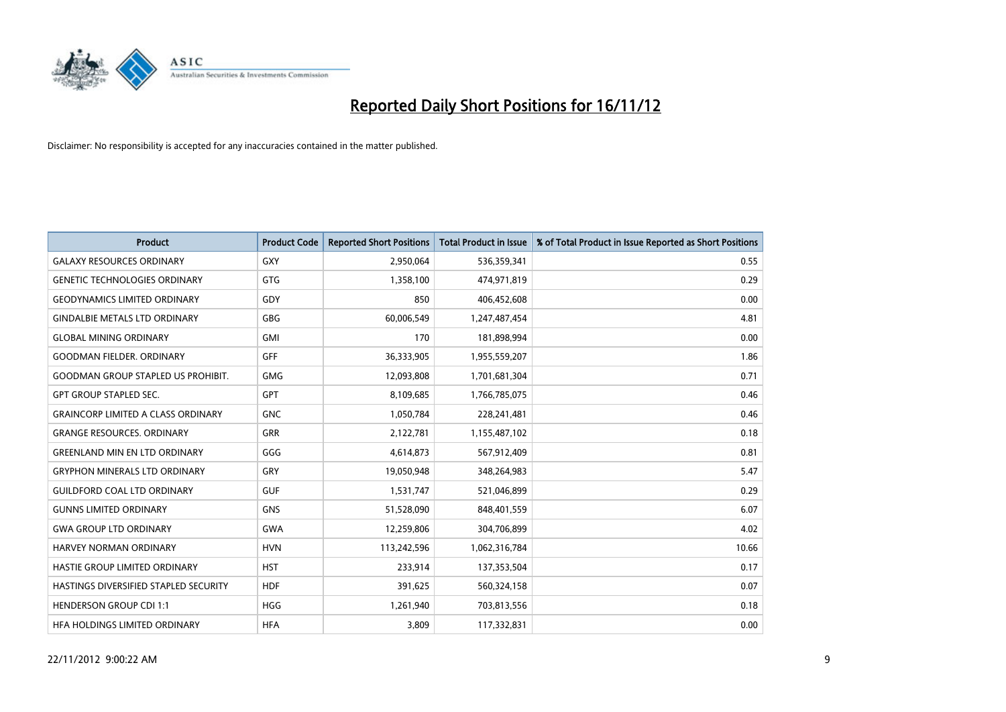

| <b>Product</b>                               | <b>Product Code</b> | <b>Reported Short Positions</b> | <b>Total Product in Issue</b> | % of Total Product in Issue Reported as Short Positions |
|----------------------------------------------|---------------------|---------------------------------|-------------------------------|---------------------------------------------------------|
| <b>GALAXY RESOURCES ORDINARY</b>             | <b>GXY</b>          | 2,950,064                       | 536,359,341                   | 0.55                                                    |
| <b>GENETIC TECHNOLOGIES ORDINARY</b>         | <b>GTG</b>          | 1,358,100                       | 474,971,819                   | 0.29                                                    |
| <b>GEODYNAMICS LIMITED ORDINARY</b>          | GDY                 | 850                             | 406,452,608                   | 0.00                                                    |
| <b>GINDALBIE METALS LTD ORDINARY</b>         | <b>GBG</b>          | 60,006,549                      | 1,247,487,454                 | 4.81                                                    |
| <b>GLOBAL MINING ORDINARY</b>                | <b>GMI</b>          | 170                             | 181,898,994                   | 0.00                                                    |
| <b>GOODMAN FIELDER, ORDINARY</b>             | <b>GFF</b>          | 36,333,905                      | 1,955,559,207                 | 1.86                                                    |
| <b>GOODMAN GROUP STAPLED US PROHIBIT.</b>    | <b>GMG</b>          | 12,093,808                      | 1,701,681,304                 | 0.71                                                    |
| <b>GPT GROUP STAPLED SEC.</b>                | <b>GPT</b>          | 8,109,685                       | 1,766,785,075                 | 0.46                                                    |
| <b>GRAINCORP LIMITED A CLASS ORDINARY</b>    | <b>GNC</b>          | 1,050,784                       | 228,241,481                   | 0.46                                                    |
| <b>GRANGE RESOURCES, ORDINARY</b>            | <b>GRR</b>          | 2,122,781                       | 1,155,487,102                 | 0.18                                                    |
| <b>GREENLAND MIN EN LTD ORDINARY</b>         | GGG                 | 4,614,873                       | 567,912,409                   | 0.81                                                    |
| <b>GRYPHON MINERALS LTD ORDINARY</b>         | GRY                 | 19,050,948                      | 348,264,983                   | 5.47                                                    |
| <b>GUILDFORD COAL LTD ORDINARY</b>           | <b>GUF</b>          | 1,531,747                       | 521,046,899                   | 0.29                                                    |
| <b>GUNNS LIMITED ORDINARY</b>                | <b>GNS</b>          | 51,528,090                      | 848,401,559                   | 6.07                                                    |
| <b>GWA GROUP LTD ORDINARY</b>                | <b>GWA</b>          | 12,259,806                      | 304,706,899                   | 4.02                                                    |
| HARVEY NORMAN ORDINARY                       | <b>HVN</b>          | 113,242,596                     | 1,062,316,784                 | 10.66                                                   |
| HASTIE GROUP LIMITED ORDINARY                | <b>HST</b>          | 233,914                         | 137,353,504                   | 0.17                                                    |
| <b>HASTINGS DIVERSIFIED STAPLED SECURITY</b> | <b>HDF</b>          | 391,625                         | 560,324,158                   | 0.07                                                    |
| <b>HENDERSON GROUP CDI 1:1</b>               | <b>HGG</b>          | 1,261,940                       | 703,813,556                   | 0.18                                                    |
| HEA HOLDINGS LIMITED ORDINARY                | <b>HFA</b>          | 3.809                           | 117,332,831                   | 0.00                                                    |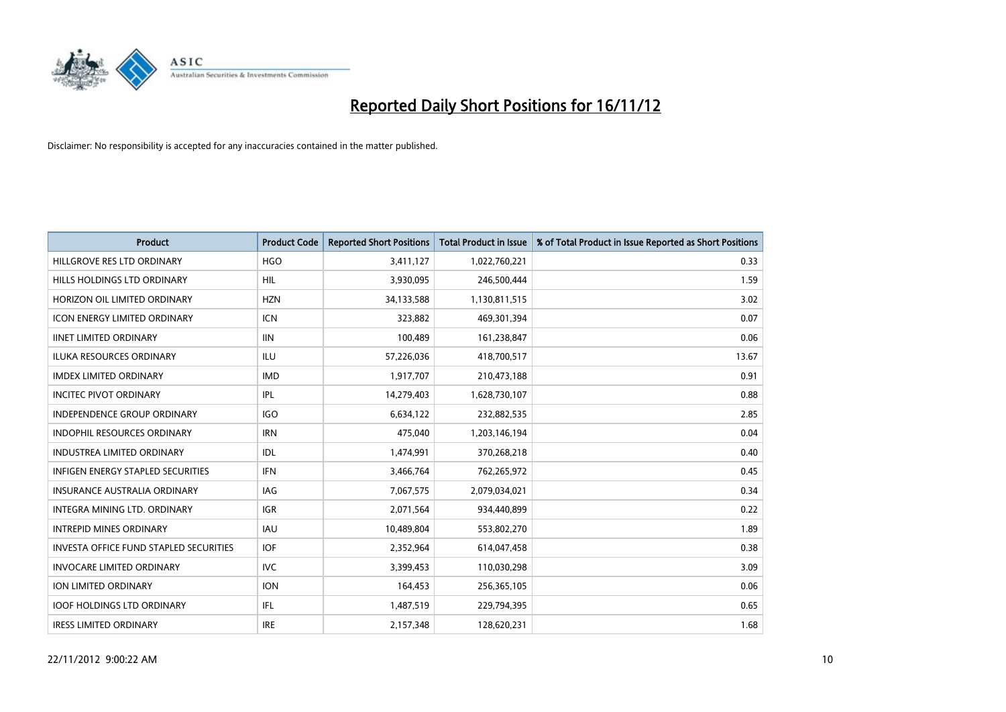

| <b>Product</b>                                | <b>Product Code</b> | <b>Reported Short Positions</b> | <b>Total Product in Issue</b> | % of Total Product in Issue Reported as Short Positions |
|-----------------------------------------------|---------------------|---------------------------------|-------------------------------|---------------------------------------------------------|
| HILLGROVE RES LTD ORDINARY                    | <b>HGO</b>          | 3,411,127                       | 1,022,760,221                 | 0.33                                                    |
| HILLS HOLDINGS LTD ORDINARY                   | HIL                 | 3,930,095                       | 246,500,444                   | 1.59                                                    |
| HORIZON OIL LIMITED ORDINARY                  | <b>HZN</b>          | 34,133,588                      | 1,130,811,515                 | 3.02                                                    |
| <b>ICON ENERGY LIMITED ORDINARY</b>           | <b>ICN</b>          | 323,882                         | 469,301,394                   | 0.07                                                    |
| <b>IINET LIMITED ORDINARY</b>                 | <b>IIN</b>          | 100,489                         | 161,238,847                   | 0.06                                                    |
| ILUKA RESOURCES ORDINARY                      | ILU                 | 57,226,036                      | 418,700,517                   | 13.67                                                   |
| <b>IMDEX LIMITED ORDINARY</b>                 | <b>IMD</b>          | 1,917,707                       | 210,473,188                   | 0.91                                                    |
| <b>INCITEC PIVOT ORDINARY</b>                 | <b>IPL</b>          | 14,279,403                      | 1,628,730,107                 | 0.88                                                    |
| <b>INDEPENDENCE GROUP ORDINARY</b>            | <b>IGO</b>          | 6,634,122                       | 232,882,535                   | 2.85                                                    |
| <b>INDOPHIL RESOURCES ORDINARY</b>            | <b>IRN</b>          | 475,040                         | 1,203,146,194                 | 0.04                                                    |
| INDUSTREA LIMITED ORDINARY                    | IDL                 | 1,474,991                       | 370,268,218                   | 0.40                                                    |
| <b>INFIGEN ENERGY STAPLED SECURITIES</b>      | <b>IFN</b>          | 3,466,764                       | 762,265,972                   | 0.45                                                    |
| <b>INSURANCE AUSTRALIA ORDINARY</b>           | <b>IAG</b>          | 7,067,575                       | 2,079,034,021                 | 0.34                                                    |
| INTEGRA MINING LTD, ORDINARY                  | <b>IGR</b>          | 2,071,564                       | 934,440,899                   | 0.22                                                    |
| <b>INTREPID MINES ORDINARY</b>                | <b>IAU</b>          | 10,489,804                      | 553,802,270                   | 1.89                                                    |
| <b>INVESTA OFFICE FUND STAPLED SECURITIES</b> | <b>IOF</b>          | 2,352,964                       | 614,047,458                   | 0.38                                                    |
| <b>INVOCARE LIMITED ORDINARY</b>              | IVC                 | 3,399,453                       | 110,030,298                   | 3.09                                                    |
| ION LIMITED ORDINARY                          | <b>ION</b>          | 164,453                         | 256,365,105                   | 0.06                                                    |
| <b>IOOF HOLDINGS LTD ORDINARY</b>             | <b>IFL</b>          | 1,487,519                       | 229,794,395                   | 0.65                                                    |
| <b>IRESS LIMITED ORDINARY</b>                 | <b>IRE</b>          | 2,157,348                       | 128.620.231                   | 1.68                                                    |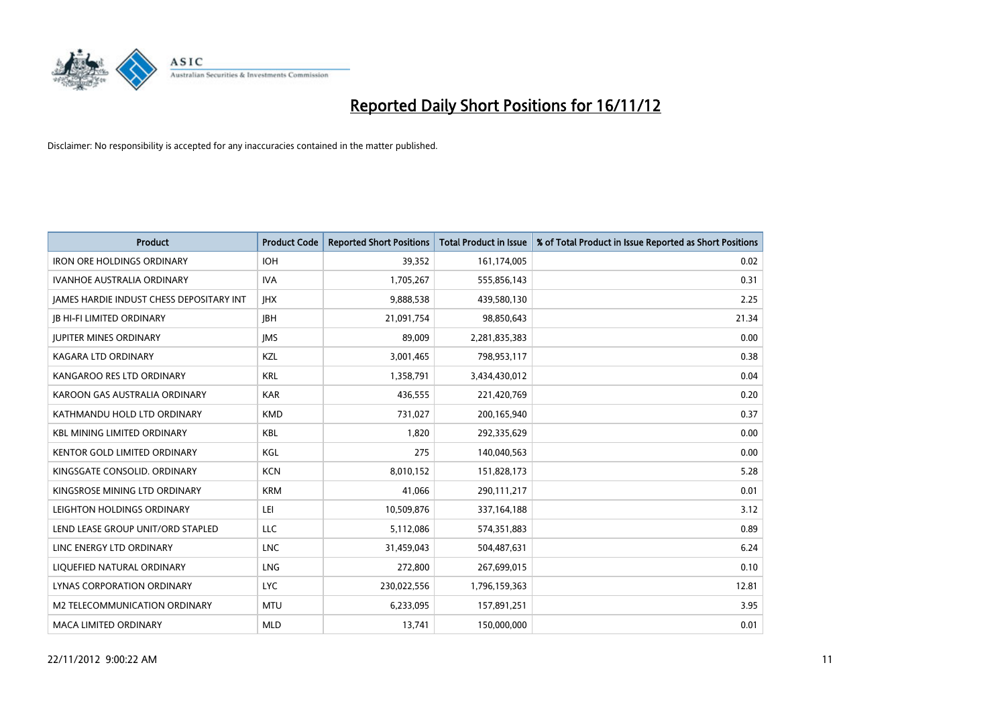

| <b>Product</b>                           | <b>Product Code</b> | <b>Reported Short Positions</b> | <b>Total Product in Issue</b> | % of Total Product in Issue Reported as Short Positions |
|------------------------------------------|---------------------|---------------------------------|-------------------------------|---------------------------------------------------------|
| <b>IRON ORE HOLDINGS ORDINARY</b>        | <b>IOH</b>          | 39,352                          | 161,174,005                   | 0.02                                                    |
| <b>IVANHOE AUSTRALIA ORDINARY</b>        | <b>IVA</b>          | 1,705,267                       | 555,856,143                   | 0.31                                                    |
| JAMES HARDIE INDUST CHESS DEPOSITARY INT | <b>JHX</b>          | 9,888,538                       | 439,580,130                   | 2.25                                                    |
| <b>IB HI-FI LIMITED ORDINARY</b>         | <b>IBH</b>          | 21,091,754                      | 98,850,643                    | 21.34                                                   |
| <b>IUPITER MINES ORDINARY</b>            | <b>IMS</b>          | 89.009                          | 2,281,835,383                 | 0.00                                                    |
| KAGARA LTD ORDINARY                      | KZL                 | 3,001,465                       | 798,953,117                   | 0.38                                                    |
| KANGAROO RES LTD ORDINARY                | <b>KRL</b>          | 1,358,791                       | 3,434,430,012                 | 0.04                                                    |
| KAROON GAS AUSTRALIA ORDINARY            | <b>KAR</b>          | 436,555                         | 221,420,769                   | 0.20                                                    |
| KATHMANDU HOLD LTD ORDINARY              | <b>KMD</b>          | 731,027                         | 200,165,940                   | 0.37                                                    |
| <b>KBL MINING LIMITED ORDINARY</b>       | <b>KBL</b>          | 1,820                           | 292,335,629                   | 0.00                                                    |
| <b>KENTOR GOLD LIMITED ORDINARY</b>      | KGL                 | 275                             | 140,040,563                   | 0.00                                                    |
| KINGSGATE CONSOLID. ORDINARY             | <b>KCN</b>          | 8,010,152                       | 151,828,173                   | 5.28                                                    |
| KINGSROSE MINING LTD ORDINARY            | <b>KRM</b>          | 41,066                          | 290,111,217                   | 0.01                                                    |
| LEIGHTON HOLDINGS ORDINARY               | LEI                 | 10,509,876                      | 337, 164, 188                 | 3.12                                                    |
| LEND LEASE GROUP UNIT/ORD STAPLED        | <b>LLC</b>          | 5,112,086                       | 574,351,883                   | 0.89                                                    |
| LINC ENERGY LTD ORDINARY                 | <b>LNC</b>          | 31,459,043                      | 504,487,631                   | 6.24                                                    |
| LIQUEFIED NATURAL ORDINARY               | LNG                 | 272,800                         | 267,699,015                   | 0.10                                                    |
| <b>LYNAS CORPORATION ORDINARY</b>        | <b>LYC</b>          | 230,022,556                     | 1,796,159,363                 | 12.81                                                   |
| M2 TELECOMMUNICATION ORDINARY            | <b>MTU</b>          | 6,233,095                       | 157,891,251                   | 3.95                                                    |
| <b>MACA LIMITED ORDINARY</b>             | <b>MLD</b>          | 13,741                          | 150,000,000                   | 0.01                                                    |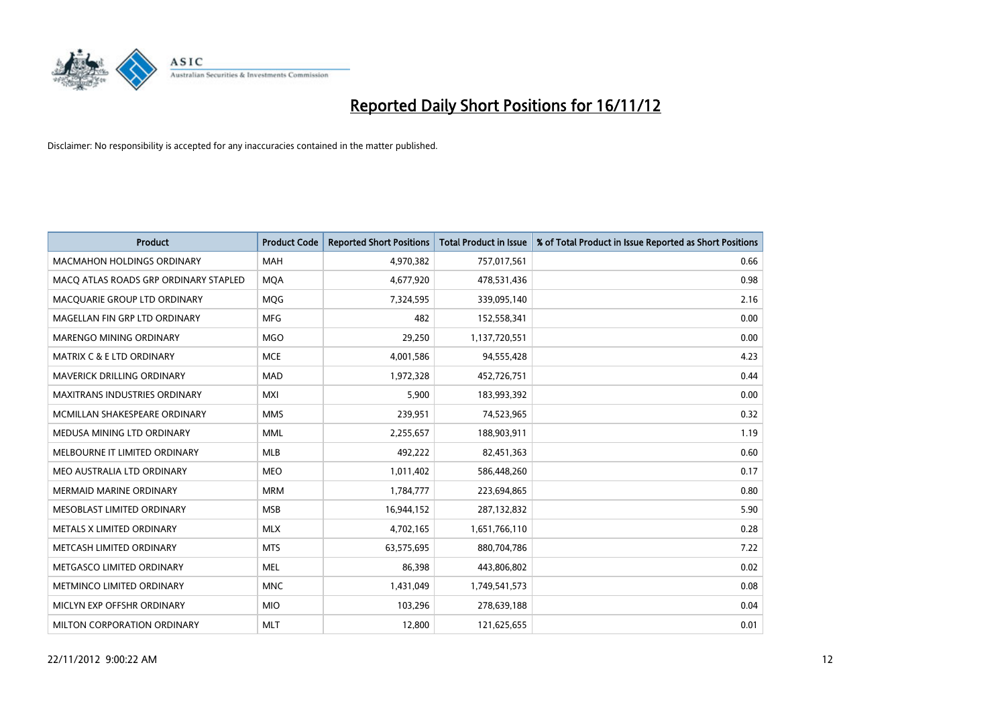

| <b>Product</b>                        | <b>Product Code</b> | <b>Reported Short Positions</b> | <b>Total Product in Issue</b> | % of Total Product in Issue Reported as Short Positions |
|---------------------------------------|---------------------|---------------------------------|-------------------------------|---------------------------------------------------------|
| <b>MACMAHON HOLDINGS ORDINARY</b>     | <b>MAH</b>          | 4,970,382                       | 757,017,561                   | 0.66                                                    |
| MACQ ATLAS ROADS GRP ORDINARY STAPLED | <b>MOA</b>          | 4,677,920                       | 478,531,436                   | 0.98                                                    |
| MACQUARIE GROUP LTD ORDINARY          | MQG                 | 7,324,595                       | 339,095,140                   | 2.16                                                    |
| MAGELLAN FIN GRP LTD ORDINARY         | <b>MFG</b>          | 482                             | 152,558,341                   | 0.00                                                    |
| <b>MARENGO MINING ORDINARY</b>        | <b>MGO</b>          | 29,250                          | 1,137,720,551                 | 0.00                                                    |
| <b>MATRIX C &amp; E LTD ORDINARY</b>  | <b>MCE</b>          | 4,001,586                       | 94,555,428                    | 4.23                                                    |
| MAVERICK DRILLING ORDINARY            | <b>MAD</b>          | 1,972,328                       | 452,726,751                   | 0.44                                                    |
| <b>MAXITRANS INDUSTRIES ORDINARY</b>  | <b>MXI</b>          | 5,900                           | 183,993,392                   | 0.00                                                    |
| MCMILLAN SHAKESPEARE ORDINARY         | <b>MMS</b>          | 239,951                         | 74,523,965                    | 0.32                                                    |
| MEDUSA MINING LTD ORDINARY            | <b>MML</b>          | 2,255,657                       | 188,903,911                   | 1.19                                                    |
| MELBOURNE IT LIMITED ORDINARY         | <b>MLB</b>          | 492,222                         | 82,451,363                    | 0.60                                                    |
| MEO AUSTRALIA LTD ORDINARY            | <b>MEO</b>          | 1,011,402                       | 586,448,260                   | 0.17                                                    |
| <b>MERMAID MARINE ORDINARY</b>        | <b>MRM</b>          | 1,784,777                       | 223,694,865                   | 0.80                                                    |
| MESOBLAST LIMITED ORDINARY            | <b>MSB</b>          | 16,944,152                      | 287,132,832                   | 5.90                                                    |
| METALS X LIMITED ORDINARY             | <b>MLX</b>          | 4,702,165                       | 1,651,766,110                 | 0.28                                                    |
| METCASH LIMITED ORDINARY              | <b>MTS</b>          | 63,575,695                      | 880,704,786                   | 7.22                                                    |
| METGASCO LIMITED ORDINARY             | <b>MEL</b>          | 86,398                          | 443,806,802                   | 0.02                                                    |
| METMINCO LIMITED ORDINARY             | <b>MNC</b>          | 1,431,049                       | 1,749,541,573                 | 0.08                                                    |
| MICLYN EXP OFFSHR ORDINARY            | <b>MIO</b>          | 103,296                         | 278,639,188                   | 0.04                                                    |
| <b>MILTON CORPORATION ORDINARY</b>    | <b>MLT</b>          | 12.800                          | 121,625,655                   | 0.01                                                    |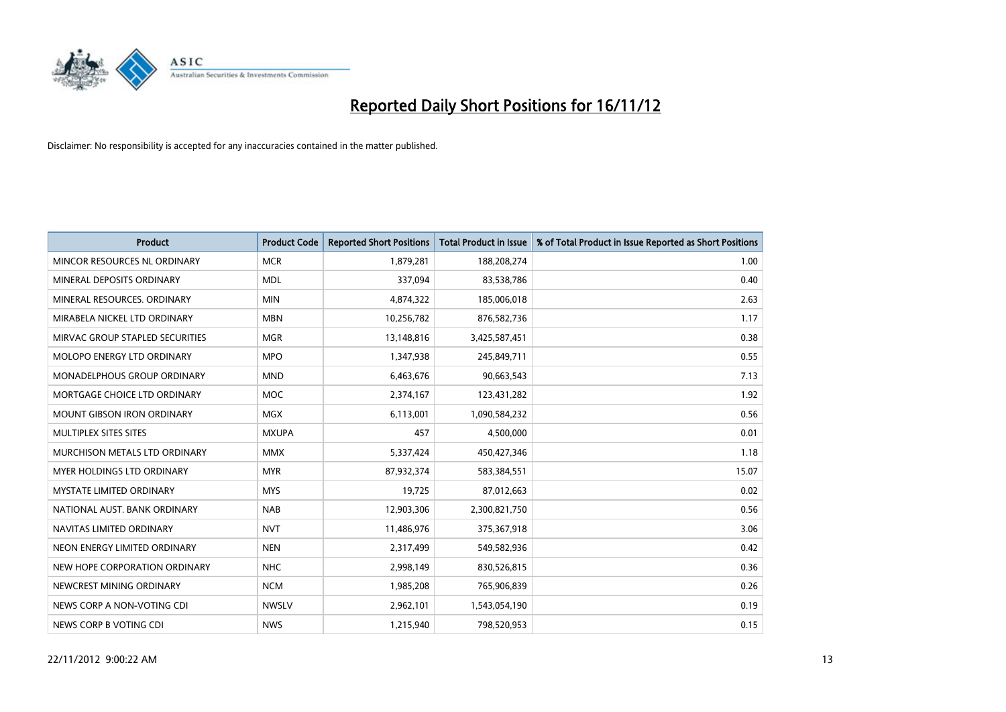

| <b>Product</b>                     | <b>Product Code</b> | <b>Reported Short Positions</b> | <b>Total Product in Issue</b> | % of Total Product in Issue Reported as Short Positions |
|------------------------------------|---------------------|---------------------------------|-------------------------------|---------------------------------------------------------|
| MINCOR RESOURCES NL ORDINARY       | <b>MCR</b>          | 1,879,281                       | 188,208,274                   | 1.00                                                    |
| MINERAL DEPOSITS ORDINARY          | <b>MDL</b>          | 337,094                         | 83,538,786                    | 0.40                                                    |
| MINERAL RESOURCES, ORDINARY        | <b>MIN</b>          | 4,874,322                       | 185,006,018                   | 2.63                                                    |
| MIRABELA NICKEL LTD ORDINARY       | <b>MBN</b>          | 10,256,782                      | 876,582,736                   | 1.17                                                    |
| MIRVAC GROUP STAPLED SECURITIES    | <b>MGR</b>          | 13,148,816                      | 3,425,587,451                 | 0.38                                                    |
| MOLOPO ENERGY LTD ORDINARY         | <b>MPO</b>          | 1,347,938                       | 245,849,711                   | 0.55                                                    |
| <b>MONADELPHOUS GROUP ORDINARY</b> | <b>MND</b>          | 6,463,676                       | 90,663,543                    | 7.13                                                    |
| MORTGAGE CHOICE LTD ORDINARY       | <b>MOC</b>          | 2,374,167                       | 123,431,282                   | 1.92                                                    |
| <b>MOUNT GIBSON IRON ORDINARY</b>  | <b>MGX</b>          | 6,113,001                       | 1,090,584,232                 | 0.56                                                    |
| MULTIPLEX SITES SITES              | <b>MXUPA</b>        | 457                             | 4,500,000                     | 0.01                                                    |
| MURCHISON METALS LTD ORDINARY      | <b>MMX</b>          | 5,337,424                       | 450,427,346                   | 1.18                                                    |
| <b>MYER HOLDINGS LTD ORDINARY</b>  | <b>MYR</b>          | 87,932,374                      | 583,384,551                   | 15.07                                                   |
| MYSTATE LIMITED ORDINARY           | <b>MYS</b>          | 19,725                          | 87,012,663                    | 0.02                                                    |
| NATIONAL AUST, BANK ORDINARY       | <b>NAB</b>          | 12,903,306                      | 2,300,821,750                 | 0.56                                                    |
| NAVITAS LIMITED ORDINARY           | <b>NVT</b>          | 11,486,976                      | 375,367,918                   | 3.06                                                    |
| NEON ENERGY LIMITED ORDINARY       | <b>NEN</b>          | 2,317,499                       | 549,582,936                   | 0.42                                                    |
| NEW HOPE CORPORATION ORDINARY      | <b>NHC</b>          | 2,998,149                       | 830,526,815                   | 0.36                                                    |
| NEWCREST MINING ORDINARY           | <b>NCM</b>          | 1,985,208                       | 765,906,839                   | 0.26                                                    |
| NEWS CORP A NON-VOTING CDI         | <b>NWSLV</b>        | 2,962,101                       | 1,543,054,190                 | 0.19                                                    |
| NEWS CORP B VOTING CDI             | <b>NWS</b>          | 1,215,940                       | 798,520,953                   | 0.15                                                    |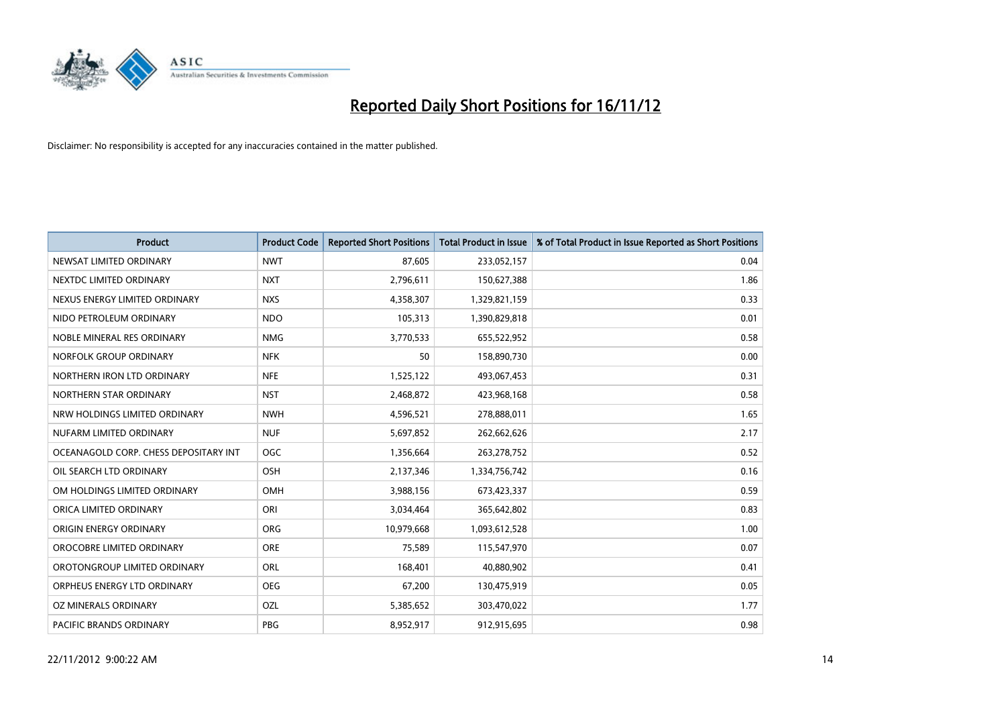

| <b>Product</b>                        | <b>Product Code</b> | <b>Reported Short Positions</b> | <b>Total Product in Issue</b> | % of Total Product in Issue Reported as Short Positions |
|---------------------------------------|---------------------|---------------------------------|-------------------------------|---------------------------------------------------------|
| NEWSAT LIMITED ORDINARY               | <b>NWT</b>          | 87,605                          | 233,052,157                   | 0.04                                                    |
| NEXTDC LIMITED ORDINARY               | <b>NXT</b>          | 2,796,611                       | 150,627,388                   | 1.86                                                    |
| NEXUS ENERGY LIMITED ORDINARY         | <b>NXS</b>          | 4,358,307                       | 1,329,821,159                 | 0.33                                                    |
| NIDO PETROLEUM ORDINARY               | <b>NDO</b>          | 105,313                         | 1,390,829,818                 | 0.01                                                    |
| NOBLE MINERAL RES ORDINARY            | <b>NMG</b>          | 3,770,533                       | 655,522,952                   | 0.58                                                    |
| NORFOLK GROUP ORDINARY                | <b>NFK</b>          | 50                              | 158,890,730                   | 0.00                                                    |
| NORTHERN IRON LTD ORDINARY            | <b>NFE</b>          | 1,525,122                       | 493,067,453                   | 0.31                                                    |
| NORTHERN STAR ORDINARY                | <b>NST</b>          | 2,468,872                       | 423,968,168                   | 0.58                                                    |
| NRW HOLDINGS LIMITED ORDINARY         | <b>NWH</b>          | 4,596,521                       | 278,888,011                   | 1.65                                                    |
| NUFARM LIMITED ORDINARY               | <b>NUF</b>          | 5,697,852                       | 262,662,626                   | 2.17                                                    |
| OCEANAGOLD CORP. CHESS DEPOSITARY INT | OGC                 | 1,356,664                       | 263,278,752                   | 0.52                                                    |
| OIL SEARCH LTD ORDINARY               | <b>OSH</b>          | 2,137,346                       | 1,334,756,742                 | 0.16                                                    |
| OM HOLDINGS LIMITED ORDINARY          | OMH                 | 3,988,156                       | 673,423,337                   | 0.59                                                    |
| ORICA LIMITED ORDINARY                | ORI                 | 3,034,464                       | 365,642,802                   | 0.83                                                    |
| ORIGIN ENERGY ORDINARY                | <b>ORG</b>          | 10,979,668                      | 1,093,612,528                 | 1.00                                                    |
| OROCOBRE LIMITED ORDINARY             | <b>ORE</b>          | 75,589                          | 115,547,970                   | 0.07                                                    |
| OROTONGROUP LIMITED ORDINARY          | <b>ORL</b>          | 168,401                         | 40,880,902                    | 0.41                                                    |
| ORPHEUS ENERGY LTD ORDINARY           | <b>OEG</b>          | 67,200                          | 130,475,919                   | 0.05                                                    |
| OZ MINERALS ORDINARY                  | OZL                 | 5,385,652                       | 303,470,022                   | 1.77                                                    |
| PACIFIC BRANDS ORDINARY               | PBG                 | 8,952,917                       | 912,915,695                   | 0.98                                                    |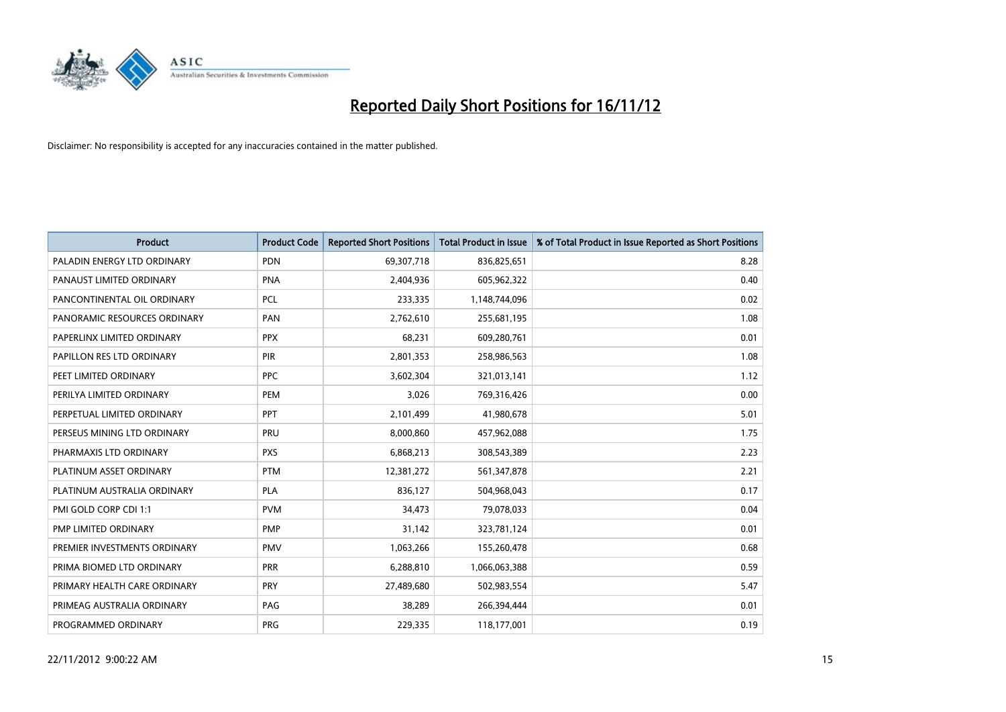

| <b>Product</b>               | <b>Product Code</b> | <b>Reported Short Positions</b> | <b>Total Product in Issue</b> | % of Total Product in Issue Reported as Short Positions |
|------------------------------|---------------------|---------------------------------|-------------------------------|---------------------------------------------------------|
| PALADIN ENERGY LTD ORDINARY  | <b>PDN</b>          | 69,307,718                      | 836,825,651                   | 8.28                                                    |
| PANAUST LIMITED ORDINARY     | PNA                 | 2,404,936                       | 605,962,322                   | 0.40                                                    |
| PANCONTINENTAL OIL ORDINARY  | <b>PCL</b>          | 233,335                         | 1,148,744,096                 | 0.02                                                    |
| PANORAMIC RESOURCES ORDINARY | PAN                 | 2,762,610                       | 255,681,195                   | 1.08                                                    |
| PAPERLINX LIMITED ORDINARY   | <b>PPX</b>          | 68,231                          | 609,280,761                   | 0.01                                                    |
| PAPILLON RES LTD ORDINARY    | PIR                 | 2,801,353                       | 258,986,563                   | 1.08                                                    |
| PEET LIMITED ORDINARY        | <b>PPC</b>          | 3,602,304                       | 321,013,141                   | 1.12                                                    |
| PERILYA LIMITED ORDINARY     | PEM                 | 3,026                           | 769,316,426                   | 0.00                                                    |
| PERPETUAL LIMITED ORDINARY   | <b>PPT</b>          | 2,101,499                       | 41,980,678                    | 5.01                                                    |
| PERSEUS MINING LTD ORDINARY  | PRU                 | 8,000,860                       | 457,962,088                   | 1.75                                                    |
| PHARMAXIS LTD ORDINARY       | <b>PXS</b>          | 6,868,213                       | 308,543,389                   | 2.23                                                    |
| PLATINUM ASSET ORDINARY      | <b>PTM</b>          | 12,381,272                      | 561,347,878                   | 2.21                                                    |
| PLATINUM AUSTRALIA ORDINARY  | <b>PLA</b>          | 836,127                         | 504,968,043                   | 0.17                                                    |
| PMI GOLD CORP CDI 1:1        | <b>PVM</b>          | 34,473                          | 79,078,033                    | 0.04                                                    |
| PMP LIMITED ORDINARY         | PMP                 | 31,142                          | 323,781,124                   | 0.01                                                    |
| PREMIER INVESTMENTS ORDINARY | <b>PMV</b>          | 1,063,266                       | 155,260,478                   | 0.68                                                    |
| PRIMA BIOMED LTD ORDINARY    | <b>PRR</b>          | 6,288,810                       | 1,066,063,388                 | 0.59                                                    |
| PRIMARY HEALTH CARE ORDINARY | <b>PRY</b>          | 27,489,680                      | 502,983,554                   | 5.47                                                    |
| PRIMEAG AUSTRALIA ORDINARY   | PAG                 | 38,289                          | 266,394,444                   | 0.01                                                    |
| PROGRAMMED ORDINARY          | <b>PRG</b>          | 229.335                         | 118,177,001                   | 0.19                                                    |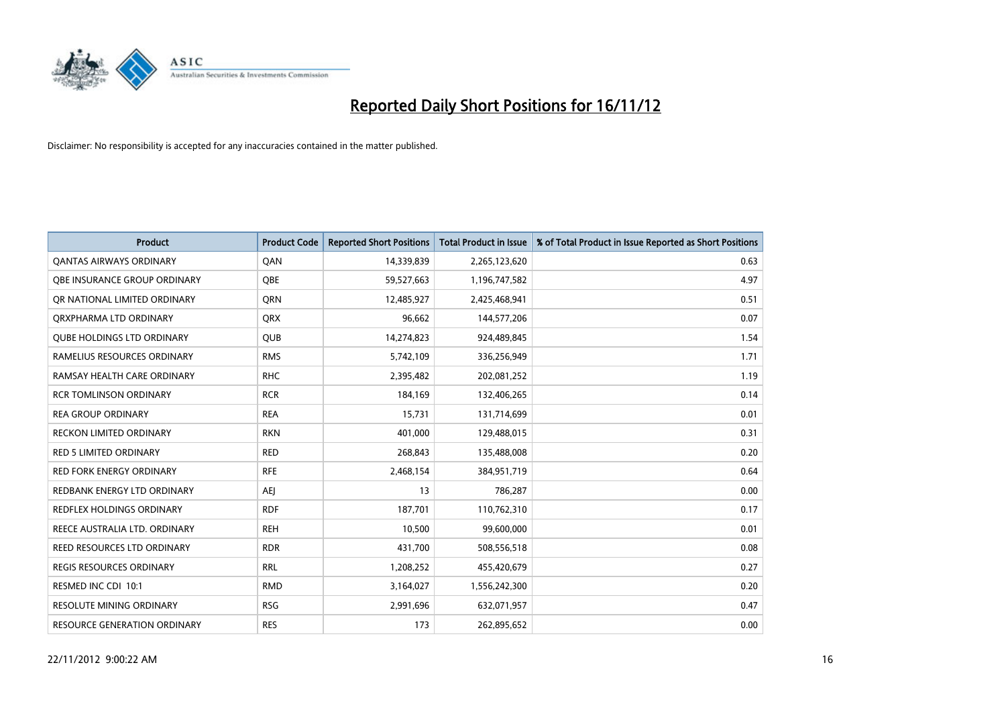

| <b>Product</b>                      | <b>Product Code</b> | <b>Reported Short Positions</b> | Total Product in Issue | % of Total Product in Issue Reported as Short Positions |
|-------------------------------------|---------------------|---------------------------------|------------------------|---------------------------------------------------------|
| <b>QANTAS AIRWAYS ORDINARY</b>      | QAN                 | 14,339,839                      | 2,265,123,620          | 0.63                                                    |
| <b>OBE INSURANCE GROUP ORDINARY</b> | <b>OBE</b>          | 59,527,663                      | 1,196,747,582          | 4.97                                                    |
| OR NATIONAL LIMITED ORDINARY        | <b>ORN</b>          | 12,485,927                      | 2,425,468,941          | 0.51                                                    |
| ORXPHARMA LTD ORDINARY              | <b>ORX</b>          | 96,662                          | 144,577,206            | 0.07                                                    |
| <b>OUBE HOLDINGS LTD ORDINARY</b>   | <b>QUB</b>          | 14,274,823                      | 924,489,845            | 1.54                                                    |
| RAMELIUS RESOURCES ORDINARY         | <b>RMS</b>          | 5,742,109                       | 336,256,949            | 1.71                                                    |
| RAMSAY HEALTH CARE ORDINARY         | <b>RHC</b>          | 2,395,482                       | 202,081,252            | 1.19                                                    |
| <b>RCR TOMLINSON ORDINARY</b>       | <b>RCR</b>          | 184,169                         | 132,406,265            | 0.14                                                    |
| <b>REA GROUP ORDINARY</b>           | <b>REA</b>          | 15,731                          | 131,714,699            | 0.01                                                    |
| <b>RECKON LIMITED ORDINARY</b>      | <b>RKN</b>          | 401,000                         | 129,488,015            | 0.31                                                    |
| <b>RED 5 LIMITED ORDINARY</b>       | <b>RED</b>          | 268,843                         | 135,488,008            | 0.20                                                    |
| <b>RED FORK ENERGY ORDINARY</b>     | <b>RFE</b>          | 2,468,154                       | 384,951,719            | 0.64                                                    |
| REDBANK ENERGY LTD ORDINARY         | AEJ                 | 13                              | 786,287                | 0.00                                                    |
| <b>REDFLEX HOLDINGS ORDINARY</b>    | <b>RDF</b>          | 187,701                         | 110,762,310            | 0.17                                                    |
| REECE AUSTRALIA LTD. ORDINARY       | <b>REH</b>          | 10,500                          | 99,600,000             | 0.01                                                    |
| REED RESOURCES LTD ORDINARY         | <b>RDR</b>          | 431,700                         | 508,556,518            | 0.08                                                    |
| <b>REGIS RESOURCES ORDINARY</b>     | <b>RRL</b>          | 1,208,252                       | 455,420,679            | 0.27                                                    |
| RESMED INC CDI 10:1                 | <b>RMD</b>          | 3,164,027                       | 1,556,242,300          | 0.20                                                    |
| <b>RESOLUTE MINING ORDINARY</b>     | <b>RSG</b>          | 2,991,696                       | 632,071,957            | 0.47                                                    |
| <b>RESOURCE GENERATION ORDINARY</b> | <b>RES</b>          | 173                             | 262,895,652            | 0.00                                                    |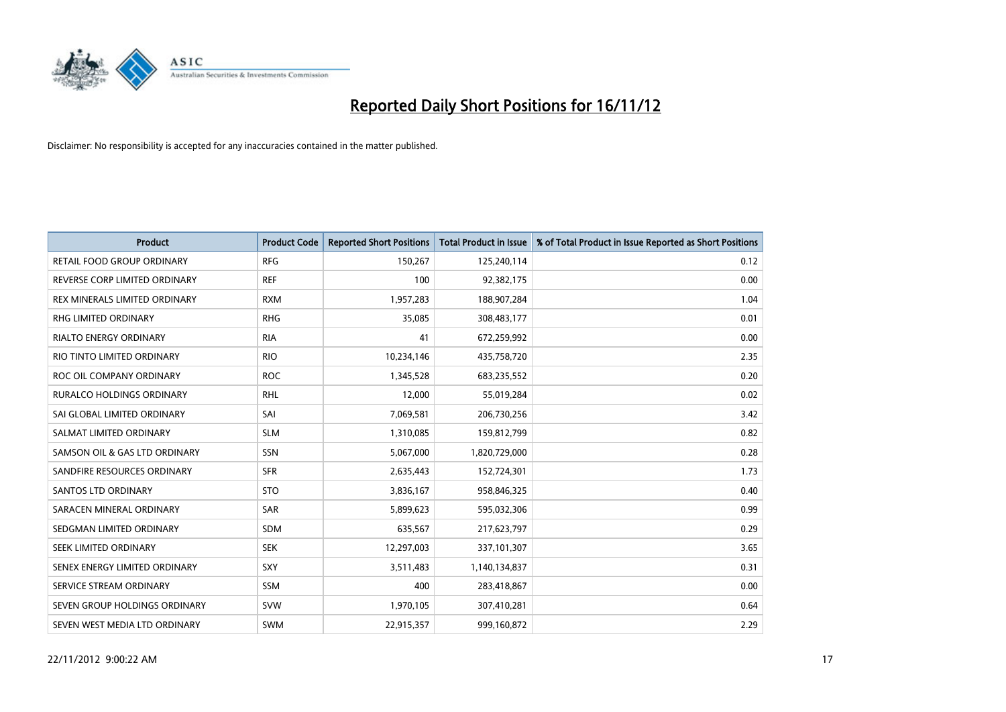

| <b>Product</b>                | <b>Product Code</b> | <b>Reported Short Positions</b> | <b>Total Product in Issue</b> | % of Total Product in Issue Reported as Short Positions |
|-------------------------------|---------------------|---------------------------------|-------------------------------|---------------------------------------------------------|
| RETAIL FOOD GROUP ORDINARY    | <b>RFG</b>          | 150,267                         | 125,240,114                   | 0.12                                                    |
| REVERSE CORP LIMITED ORDINARY | <b>REF</b>          | 100                             | 92,382,175                    | 0.00                                                    |
| REX MINERALS LIMITED ORDINARY | <b>RXM</b>          | 1,957,283                       | 188,907,284                   | 1.04                                                    |
| RHG LIMITED ORDINARY          | <b>RHG</b>          | 35,085                          | 308,483,177                   | 0.01                                                    |
| <b>RIALTO ENERGY ORDINARY</b> | <b>RIA</b>          | 41                              | 672,259,992                   | 0.00                                                    |
| RIO TINTO LIMITED ORDINARY    | <b>RIO</b>          | 10,234,146                      | 435,758,720                   | 2.35                                                    |
| ROC OIL COMPANY ORDINARY      | <b>ROC</b>          | 1,345,528                       | 683,235,552                   | 0.20                                                    |
| RURALCO HOLDINGS ORDINARY     | <b>RHL</b>          | 12,000                          | 55,019,284                    | 0.02                                                    |
| SAI GLOBAL LIMITED ORDINARY   | SAI                 | 7,069,581                       | 206,730,256                   | 3.42                                                    |
| SALMAT LIMITED ORDINARY       | <b>SLM</b>          | 1,310,085                       | 159,812,799                   | 0.82                                                    |
| SAMSON OIL & GAS LTD ORDINARY | SSN                 | 5,067,000                       | 1,820,729,000                 | 0.28                                                    |
| SANDFIRE RESOURCES ORDINARY   | <b>SFR</b>          | 2,635,443                       | 152,724,301                   | 1.73                                                    |
| <b>SANTOS LTD ORDINARY</b>    | <b>STO</b>          | 3,836,167                       | 958,846,325                   | 0.40                                                    |
| SARACEN MINERAL ORDINARY      | SAR                 | 5,899,623                       | 595,032,306                   | 0.99                                                    |
| SEDGMAN LIMITED ORDINARY      | <b>SDM</b>          | 635,567                         | 217,623,797                   | 0.29                                                    |
| SEEK LIMITED ORDINARY         | <b>SEK</b>          | 12,297,003                      | 337,101,307                   | 3.65                                                    |
| SENEX ENERGY LIMITED ORDINARY | SXY                 | 3,511,483                       | 1,140,134,837                 | 0.31                                                    |
| SERVICE STREAM ORDINARY       | <b>SSM</b>          | 400                             | 283,418,867                   | 0.00                                                    |
| SEVEN GROUP HOLDINGS ORDINARY | <b>SVW</b>          | 1,970,105                       | 307,410,281                   | 0.64                                                    |
| SEVEN WEST MEDIA LTD ORDINARY | <b>SWM</b>          | 22,915,357                      | 999,160,872                   | 2.29                                                    |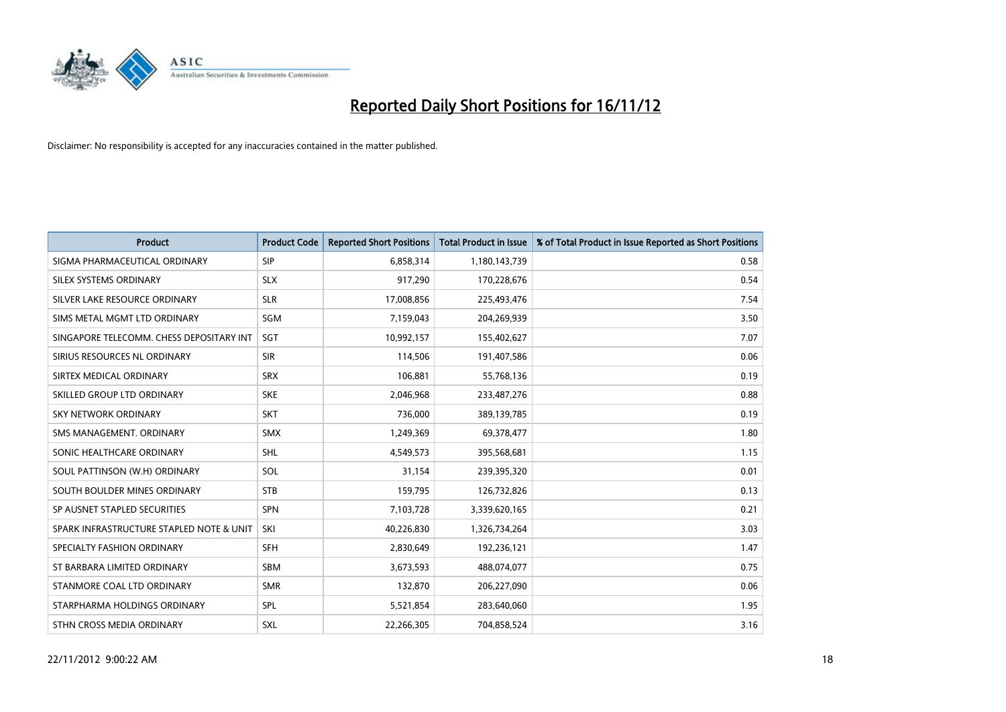

| <b>Product</b>                           | <b>Product Code</b> | <b>Reported Short Positions</b> | <b>Total Product in Issue</b> | % of Total Product in Issue Reported as Short Positions |
|------------------------------------------|---------------------|---------------------------------|-------------------------------|---------------------------------------------------------|
| SIGMA PHARMACEUTICAL ORDINARY            | <b>SIP</b>          | 6,858,314                       | 1,180,143,739                 | 0.58                                                    |
| SILEX SYSTEMS ORDINARY                   | <b>SLX</b>          | 917,290                         | 170,228,676                   | 0.54                                                    |
| SILVER LAKE RESOURCE ORDINARY            | <b>SLR</b>          | 17,008,856                      | 225,493,476                   | 7.54                                                    |
| SIMS METAL MGMT LTD ORDINARY             | SGM                 | 7,159,043                       | 204,269,939                   | 3.50                                                    |
| SINGAPORE TELECOMM. CHESS DEPOSITARY INT | SGT                 | 10,992,157                      | 155,402,627                   | 7.07                                                    |
| SIRIUS RESOURCES NL ORDINARY             | <b>SIR</b>          | 114,506                         | 191,407,586                   | 0.06                                                    |
| SIRTEX MEDICAL ORDINARY                  | <b>SRX</b>          | 106,881                         | 55,768,136                    | 0.19                                                    |
| SKILLED GROUP LTD ORDINARY               | <b>SKE</b>          | 2,046,968                       | 233,487,276                   | 0.88                                                    |
| SKY NETWORK ORDINARY                     | <b>SKT</b>          | 736,000                         | 389,139,785                   | 0.19                                                    |
| SMS MANAGEMENT. ORDINARY                 | <b>SMX</b>          | 1,249,369                       | 69,378,477                    | 1.80                                                    |
| SONIC HEALTHCARE ORDINARY                | <b>SHL</b>          | 4,549,573                       | 395,568,681                   | 1.15                                                    |
| SOUL PATTINSON (W.H) ORDINARY            | SOL                 | 31,154                          | 239,395,320                   | 0.01                                                    |
| SOUTH BOULDER MINES ORDINARY             | <b>STB</b>          | 159,795                         | 126,732,826                   | 0.13                                                    |
| SP AUSNET STAPLED SECURITIES             | SPN                 | 7,103,728                       | 3,339,620,165                 | 0.21                                                    |
| SPARK INFRASTRUCTURE STAPLED NOTE & UNIT | SKI                 | 40,226,830                      | 1,326,734,264                 | 3.03                                                    |
| SPECIALTY FASHION ORDINARY               | <b>SFH</b>          | 2,830,649                       | 192,236,121                   | 1.47                                                    |
| ST BARBARA LIMITED ORDINARY              | <b>SBM</b>          | 3,673,593                       | 488,074,077                   | 0.75                                                    |
| STANMORE COAL LTD ORDINARY               | <b>SMR</b>          | 132,870                         | 206,227,090                   | 0.06                                                    |
| STARPHARMA HOLDINGS ORDINARY             | SPL                 | 5,521,854                       | 283,640,060                   | 1.95                                                    |
| STHN CROSS MEDIA ORDINARY                | <b>SXL</b>          | 22,266,305                      | 704,858,524                   | 3.16                                                    |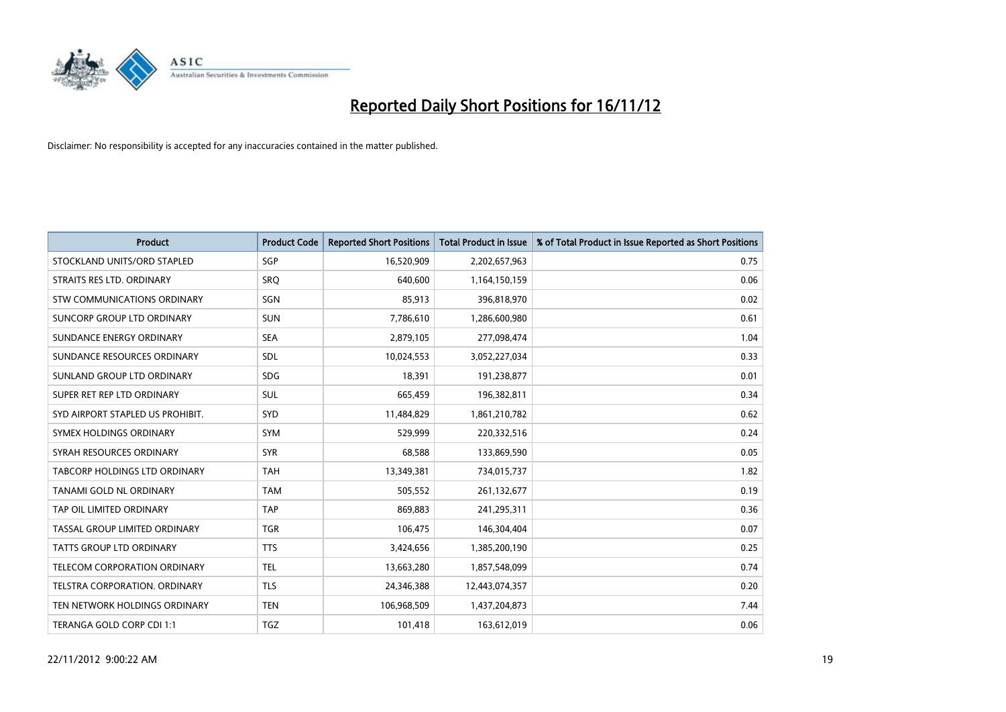

| <b>Product</b>                       | <b>Product Code</b> | <b>Reported Short Positions</b> | <b>Total Product in Issue</b> | % of Total Product in Issue Reported as Short Positions |
|--------------------------------------|---------------------|---------------------------------|-------------------------------|---------------------------------------------------------|
| STOCKLAND UNITS/ORD STAPLED          | SGP                 | 16,520,909                      | 2,202,657,963                 | 0.75                                                    |
| STRAITS RES LTD. ORDINARY            | SRO                 | 640,600                         | 1,164,150,159                 | 0.06                                                    |
| STW COMMUNICATIONS ORDINARY          | SGN                 | 85,913                          | 396,818,970                   | 0.02                                                    |
| SUNCORP GROUP LTD ORDINARY           | <b>SUN</b>          | 7,786,610                       | 1,286,600,980                 | 0.61                                                    |
| SUNDANCE ENERGY ORDINARY             | <b>SEA</b>          | 2,879,105                       | 277,098,474                   | 1.04                                                    |
| SUNDANCE RESOURCES ORDINARY          | <b>SDL</b>          | 10,024,553                      | 3,052,227,034                 | 0.33                                                    |
| SUNLAND GROUP LTD ORDINARY           | <b>SDG</b>          | 18.391                          | 191,238,877                   | 0.01                                                    |
| SUPER RET REP LTD ORDINARY           | <b>SUL</b>          | 665,459                         | 196,382,811                   | 0.34                                                    |
| SYD AIRPORT STAPLED US PROHIBIT.     | SYD                 | 11,484,829                      | 1,861,210,782                 | 0.62                                                    |
| SYMEX HOLDINGS ORDINARY              | <b>SYM</b>          | 529,999                         | 220,332,516                   | 0.24                                                    |
| SYRAH RESOURCES ORDINARY             | <b>SYR</b>          | 68,588                          | 133,869,590                   | 0.05                                                    |
| <b>TABCORP HOLDINGS LTD ORDINARY</b> | <b>TAH</b>          | 13,349,381                      | 734,015,737                   | 1.82                                                    |
| TANAMI GOLD NL ORDINARY              | <b>TAM</b>          | 505,552                         | 261,132,677                   | 0.19                                                    |
| TAP OIL LIMITED ORDINARY             | <b>TAP</b>          | 869,883                         | 241,295,311                   | 0.36                                                    |
| TASSAL GROUP LIMITED ORDINARY        | <b>TGR</b>          | 106,475                         | 146,304,404                   | 0.07                                                    |
| TATTS GROUP LTD ORDINARY             | <b>TTS</b>          | 3,424,656                       | 1,385,200,190                 | 0.25                                                    |
| <b>TELECOM CORPORATION ORDINARY</b>  | <b>TEL</b>          | 13,663,280                      | 1,857,548,099                 | 0.74                                                    |
| TELSTRA CORPORATION. ORDINARY        | <b>TLS</b>          | 24,346,388                      | 12,443,074,357                | 0.20                                                    |
| TEN NETWORK HOLDINGS ORDINARY        | <b>TEN</b>          | 106,968,509                     | 1,437,204,873                 | 7.44                                                    |
| TERANGA GOLD CORP CDI 1:1            | <b>TGZ</b>          | 101,418                         | 163,612,019                   | 0.06                                                    |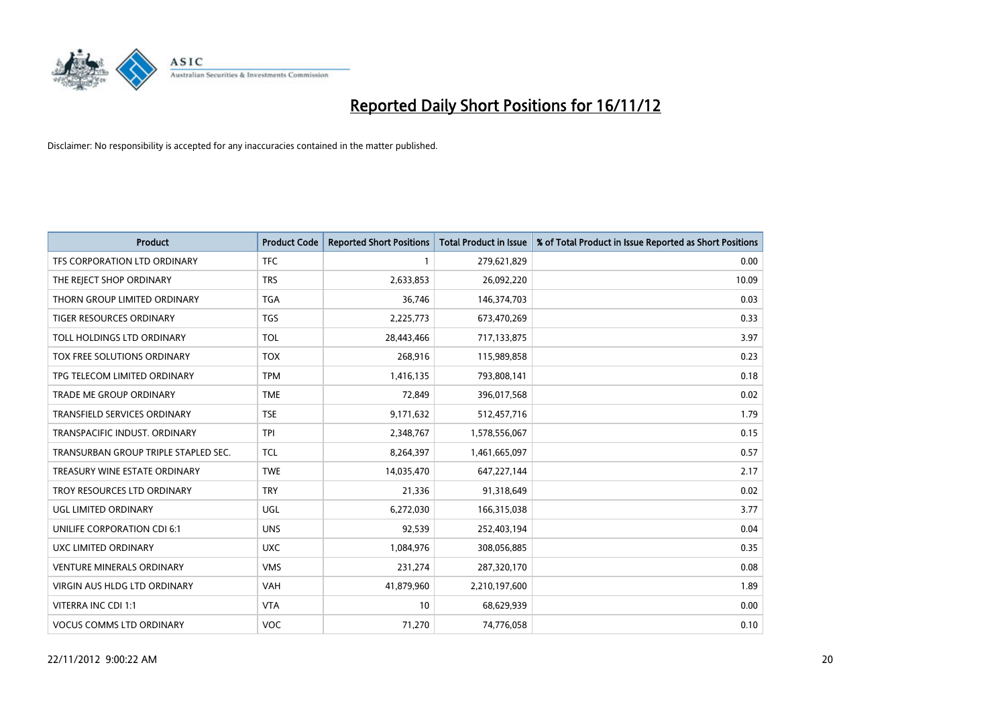

| <b>Product</b>                       | <b>Product Code</b> | <b>Reported Short Positions</b> | <b>Total Product in Issue</b> | % of Total Product in Issue Reported as Short Positions |
|--------------------------------------|---------------------|---------------------------------|-------------------------------|---------------------------------------------------------|
| <b>TFS CORPORATION LTD ORDINARY</b>  | <b>TFC</b>          |                                 | 279,621,829                   | 0.00                                                    |
| THE REJECT SHOP ORDINARY             | <b>TRS</b>          | 2,633,853                       | 26,092,220                    | 10.09                                                   |
| THORN GROUP LIMITED ORDINARY         | <b>TGA</b>          | 36,746                          | 146,374,703                   | 0.03                                                    |
| TIGER RESOURCES ORDINARY             | <b>TGS</b>          | 2,225,773                       | 673,470,269                   | 0.33                                                    |
| TOLL HOLDINGS LTD ORDINARY           | <b>TOL</b>          | 28,443,466                      | 717,133,875                   | 3.97                                                    |
| TOX FREE SOLUTIONS ORDINARY          | <b>TOX</b>          | 268,916                         | 115,989,858                   | 0.23                                                    |
| TPG TELECOM LIMITED ORDINARY         | <b>TPM</b>          | 1,416,135                       | 793,808,141                   | 0.18                                                    |
| TRADE ME GROUP ORDINARY              | <b>TME</b>          | 72,849                          | 396,017,568                   | 0.02                                                    |
| <b>TRANSFIELD SERVICES ORDINARY</b>  | <b>TSE</b>          | 9,171,632                       | 512,457,716                   | 1.79                                                    |
| TRANSPACIFIC INDUST, ORDINARY        | <b>TPI</b>          | 2,348,767                       | 1,578,556,067                 | 0.15                                                    |
| TRANSURBAN GROUP TRIPLE STAPLED SEC. | <b>TCL</b>          | 8,264,397                       | 1,461,665,097                 | 0.57                                                    |
| TREASURY WINE ESTATE ORDINARY        | <b>TWE</b>          | 14,035,470                      | 647,227,144                   | 2.17                                                    |
| TROY RESOURCES LTD ORDINARY          | <b>TRY</b>          | 21,336                          | 91,318,649                    | 0.02                                                    |
| UGL LIMITED ORDINARY                 | UGL                 | 6,272,030                       | 166,315,038                   | 3.77                                                    |
| UNILIFE CORPORATION CDI 6:1          | <b>UNS</b>          | 92,539                          | 252,403,194                   | 0.04                                                    |
| UXC LIMITED ORDINARY                 | <b>UXC</b>          | 1,084,976                       | 308,056,885                   | 0.35                                                    |
| <b>VENTURE MINERALS ORDINARY</b>     | <b>VMS</b>          | 231,274                         | 287,320,170                   | 0.08                                                    |
| <b>VIRGIN AUS HLDG LTD ORDINARY</b>  | <b>VAH</b>          | 41,879,960                      | 2,210,197,600                 | 1.89                                                    |
| VITERRA INC CDI 1:1                  | <b>VTA</b>          | 10                              | 68,629,939                    | 0.00                                                    |
| <b>VOCUS COMMS LTD ORDINARY</b>      | <b>VOC</b>          | 71,270                          | 74,776,058                    | 0.10                                                    |